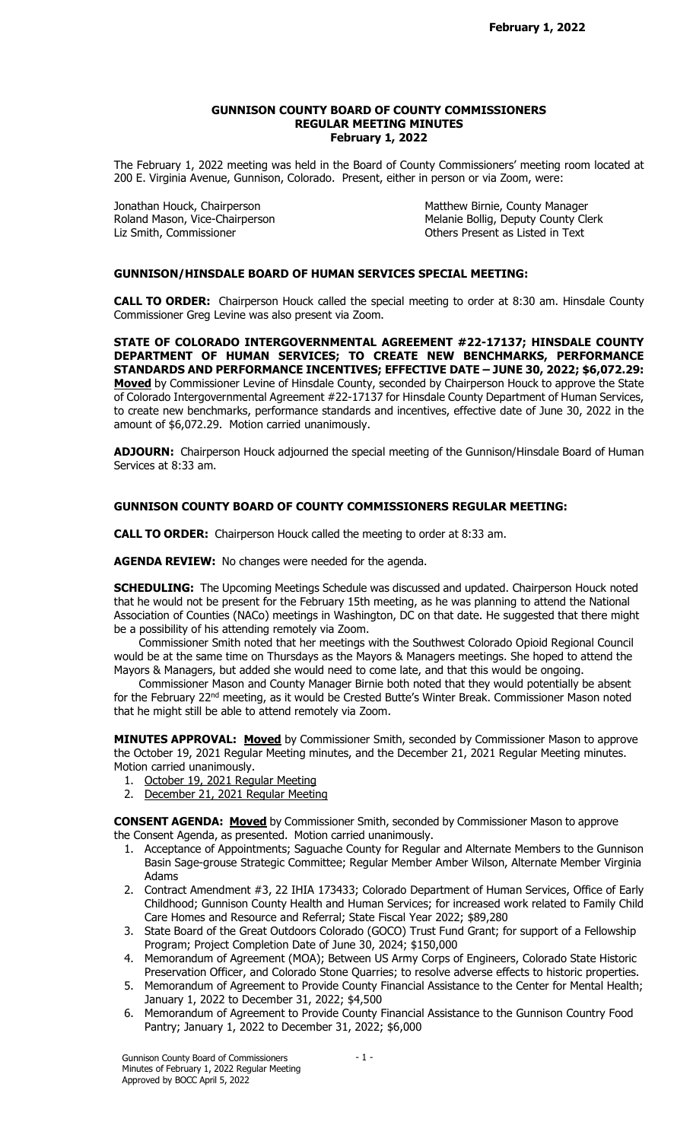### GUNNISON COUNTY BOARD OF COUNTY COMMISSIONERS REGULAR MEETING MINUTES February 1, 2022

The February 1, 2022 meeting was held in the Board of County Commissioners' meeting room located at 200 E. Virginia Avenue, Gunnison, Colorado. Present, either in person or via Zoom, were:

Liz Smith, Commissioner **Commissioner** Changes Commissioner Changes Commissioner Commissioner Commissioner Commissioner Commissioner Commissioner Commissioner Commissioner Commissioner Commissioner Commissioner Commissione

Jonathan Houck, Chairperson **Matthew Birnie, County Manager** Roland Mason, Vice-Chairperson **Matthew Birnie, County Manager** Roland Mason, Vice-Chairperson Melanie Bollig, Deputy County Clerk

## GUNNISON/HINSDALE BOARD OF HUMAN SERVICES SPECIAL MEETING:

CALL TO ORDER: Chairperson Houck called the special meeting to order at 8:30 am. Hinsdale County Commissioner Greg Levine was also present via Zoom.

STATE OF COLORADO INTERGOVERNMENTAL AGREEMENT #22-17137; HINSDALE COUNTY DEPARTMENT OF HUMAN SERVICES; TO CREATE NEW BENCHMARKS, PERFORMANCE STANDARDS AND PERFORMANCE INCENTIVES; EFFECTIVE DATE – JUNE 30, 2022; \$6,072.29: Moved by Commissioner Levine of Hinsdale County, seconded by Chairperson Houck to approve the State of Colorado Intergovernmental Agreement #22-17137 for Hinsdale County Department of Human Services, to create new benchmarks, performance standards and incentives, effective date of June 30, 2022 in the amount of \$6,072.29. Motion carried unanimously.

ADJOURN: Chairperson Houck adjourned the special meeting of the Gunnison/Hinsdale Board of Human Services at 8:33 am.

### GUNNISON COUNTY BOARD OF COUNTY COMMISSIONERS REGULAR MEETING:

CALL TO ORDER: Chairperson Houck called the meeting to order at 8:33 am.

AGENDA REVIEW: No changes were needed for the agenda.

**SCHEDULING:** The Upcoming Meetings Schedule was discussed and updated. Chairperson Houck noted that he would not be present for the February 15th meeting, as he was planning to attend the National Association of Counties (NACo) meetings in Washington, DC on that date. He suggested that there might be a possibility of his attending remotely via Zoom.

 Commissioner Smith noted that her meetings with the Southwest Colorado Opioid Regional Council would be at the same time on Thursdays as the Mayors & Managers meetings. She hoped to attend the Mayors & Managers, but added she would need to come late, and that this would be ongoing.

 Commissioner Mason and County Manager Birnie both noted that they would potentially be absent for the February 22nd meeting, as it would be Crested Butte's Winter Break. Commissioner Mason noted that he might still be able to attend remotely via Zoom.

MINUTES APPROVAL: Moved by Commissioner Smith, seconded by Commissioner Mason to approve the October 19, 2021 Regular Meeting minutes, and the December 21, 2021 Regular Meeting minutes. Motion carried unanimously.

- 1. October 19, 2021 Regular Meeting
- 2. December 21, 2021 Regular Meeting

**CONSENT AGENDA: Moved** by Commissioner Smith, seconded by Commissioner Mason to approve the Consent Agenda, as presented. Motion carried unanimously.

- 1. Acceptance of Appointments; Saguache County for Regular and Alternate Members to the Gunnison Basin Sage-grouse Strategic Committee; Regular Member Amber Wilson, Alternate Member Virginia Adams
- 2. Contract Amendment #3, 22 IHIA 173433; Colorado Department of Human Services, Office of Early Childhood; Gunnison County Health and Human Services; for increased work related to Family Child Care Homes and Resource and Referral; State Fiscal Year 2022; \$89,280
- 3. State Board of the Great Outdoors Colorado (GOCO) Trust Fund Grant; for support of a Fellowship Program; Project Completion Date of June 30, 2024; \$150,000
- 4. Memorandum of Agreement (MOA); Between US Army Corps of Engineers, Colorado State Historic Preservation Officer, and Colorado Stone Quarries; to resolve adverse effects to historic properties.
- 5. Memorandum of Agreement to Provide County Financial Assistance to the Center for Mental Health; January 1, 2022 to December 31, 2022; \$4,500
- 6. Memorandum of Agreement to Provide County Financial Assistance to the Gunnison Country Food Pantry; January 1, 2022 to December 31, 2022; \$6,000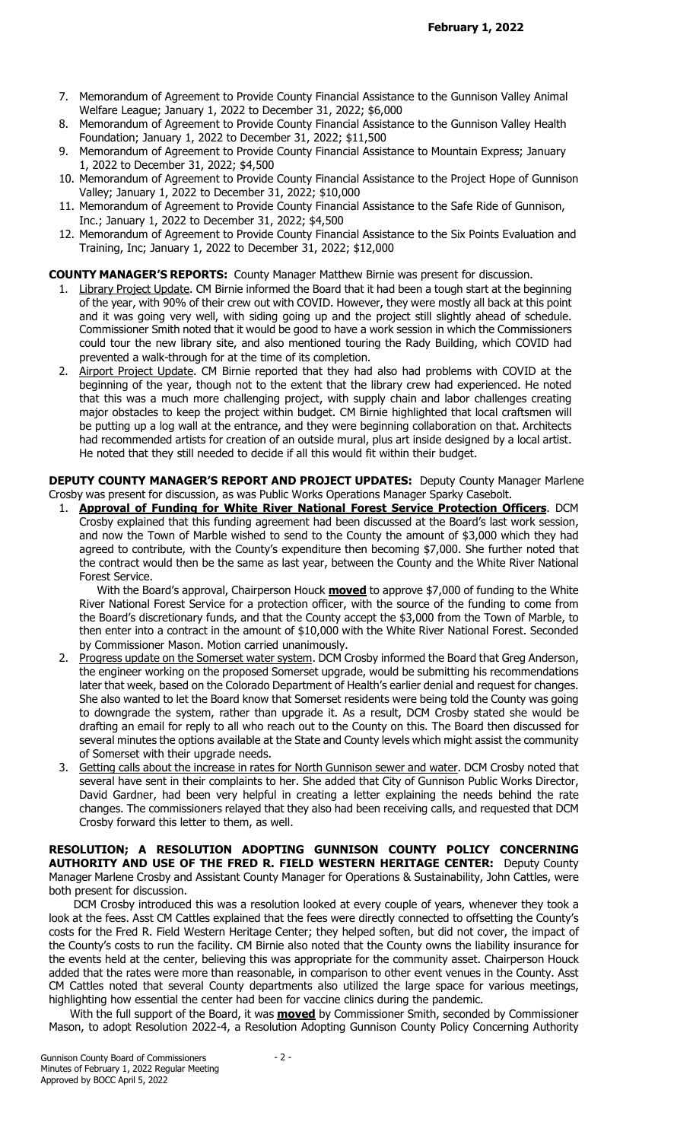- 7. Memorandum of Agreement to Provide County Financial Assistance to the Gunnison Valley Animal Welfare League; January 1, 2022 to December 31, 2022; \$6,000
- 8. Memorandum of Agreement to Provide County Financial Assistance to the Gunnison Valley Health Foundation; January 1, 2022 to December 31, 2022; \$11,500
- 9. Memorandum of Agreement to Provide County Financial Assistance to Mountain Express; January 1, 2022 to December 31, 2022; \$4,500
- 10. Memorandum of Agreement to Provide County Financial Assistance to the Project Hope of Gunnison Valley; January 1, 2022 to December 31, 2022; \$10,000
- 11. Memorandum of Agreement to Provide County Financial Assistance to the Safe Ride of Gunnison, Inc.; January 1, 2022 to December 31, 2022; \$4,500
- 12. Memorandum of Agreement to Provide County Financial Assistance to the Six Points Evaluation and Training, Inc; January 1, 2022 to December 31, 2022; \$12,000

## COUNTY MANAGER'S REPORTS: County Manager Matthew Birnie was present for discussion.

- 1. Library Project Update. CM Birnie informed the Board that it had been a tough start at the beginning of the year, with 90% of their crew out with COVID. However, they were mostly all back at this point and it was going very well, with siding going up and the project still slightly ahead of schedule. Commissioner Smith noted that it would be good to have a work session in which the Commissioners could tour the new library site, and also mentioned touring the Rady Building, which COVID had prevented a walk-through for at the time of its completion.
- 2. Airport Project Update. CM Birnie reported that they had also had problems with COVID at the beginning of the year, though not to the extent that the library crew had experienced. He noted that this was a much more challenging project, with supply chain and labor challenges creating major obstacles to keep the project within budget. CM Birnie highlighted that local craftsmen will be putting up a log wall at the entrance, and they were beginning collaboration on that. Architects had recommended artists for creation of an outside mural, plus art inside designed by a local artist. He noted that they still needed to decide if all this would fit within their budget.

DEPUTY COUNTY MANAGER'S REPORT AND PROJECT UPDATES: Deputy County Manager Marlene Crosby was present for discussion, as was Public Works Operations Manager Sparky Casebolt.

1. **Approval of Funding for White River National Forest Service Protection Officers**. DCM Crosby explained that this funding agreement had been discussed at the Board's last work session, and now the Town of Marble wished to send to the County the amount of \$3,000 which they had agreed to contribute, with the County's expenditure then becoming \$7,000. She further noted that the contract would then be the same as last year, between the County and the White River National Forest Service.

With the Board's approval, Chairperson Houck **moved** to approve \$7,000 of funding to the White River National Forest Service for a protection officer, with the source of the funding to come from the Board's discretionary funds, and that the County accept the \$3,000 from the Town of Marble, to then enter into a contract in the amount of \$10,000 with the White River National Forest. Seconded by Commissioner Mason. Motion carried unanimously.

- 2. Progress update on the Somerset water system. DCM Crosby informed the Board that Greg Anderson, the engineer working on the proposed Somerset upgrade, would be submitting his recommendations later that week, based on the Colorado Department of Health's earlier denial and request for changes. She also wanted to let the Board know that Somerset residents were being told the County was going to downgrade the system, rather than upgrade it. As a result, DCM Crosby stated she would be drafting an email for reply to all who reach out to the County on this. The Board then discussed for several minutes the options available at the State and County levels which might assist the community of Somerset with their upgrade needs.
- 3. Getting calls about the increase in rates for North Gunnison sewer and water. DCM Crosby noted that several have sent in their complaints to her. She added that City of Gunnison Public Works Director, David Gardner, had been very helpful in creating a letter explaining the needs behind the rate changes. The commissioners relayed that they also had been receiving calls, and requested that DCM Crosby forward this letter to them, as well.

RESOLUTION; A RESOLUTION ADOPTING GUNNISON COUNTY POLICY CONCERNING AUTHORITY AND USE OF THE FRED R. FIELD WESTERN HERITAGE CENTER: Deputy County Manager Marlene Crosby and Assistant County Manager for Operations & Sustainability, John Cattles, were both present for discussion.

 DCM Crosby introduced this was a resolution looked at every couple of years, whenever they took a look at the fees. Asst CM Cattles explained that the fees were directly connected to offsetting the County's costs for the Fred R. Field Western Heritage Center; they helped soften, but did not cover, the impact of the County's costs to run the facility. CM Birnie also noted that the County owns the liability insurance for the events held at the center, believing this was appropriate for the community asset. Chairperson Houck added that the rates were more than reasonable, in comparison to other event venues in the County. Asst CM Cattles noted that several County departments also utilized the large space for various meetings, highlighting how essential the center had been for vaccine clinics during the pandemic.

With the full support of the Board, it was **moved** by Commissioner Smith, seconded by Commissioner Mason, to adopt Resolution 2022-4, a Resolution Adopting Gunnison County Policy Concerning Authority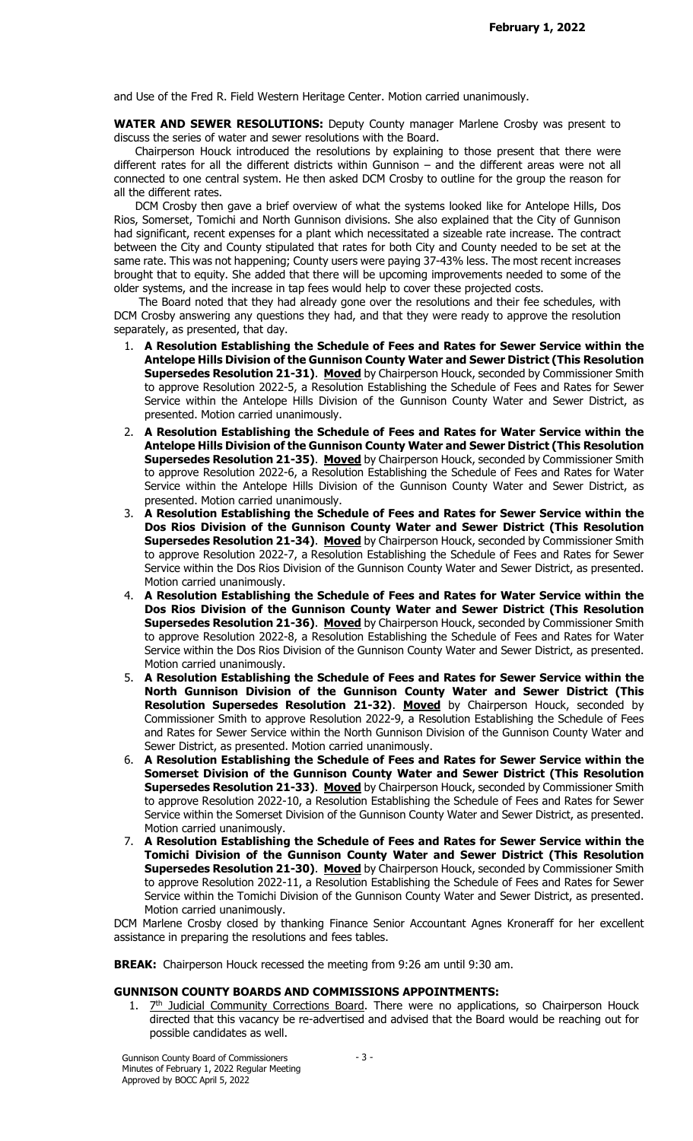and Use of the Fred R. Field Western Heritage Center. Motion carried unanimously.

WATER AND SEWER RESOLUTIONS: Deputy County manager Marlene Crosby was present to discuss the series of water and sewer resolutions with the Board.

 Chairperson Houck introduced the resolutions by explaining to those present that there were different rates for all the different districts within Gunnison – and the different areas were not all connected to one central system. He then asked DCM Crosby to outline for the group the reason for all the different rates.

 DCM Crosby then gave a brief overview of what the systems looked like for Antelope Hills, Dos Rios, Somerset, Tomichi and North Gunnison divisions. She also explained that the City of Gunnison had significant, recent expenses for a plant which necessitated a sizeable rate increase. The contract between the City and County stipulated that rates for both City and County needed to be set at the same rate. This was not happening; County users were paying 37-43% less. The most recent increases brought that to equity. She added that there will be upcoming improvements needed to some of the older systems, and the increase in tap fees would help to cover these projected costs.

 The Board noted that they had already gone over the resolutions and their fee schedules, with DCM Crosby answering any questions they had, and that they were ready to approve the resolution separately, as presented, that day.

- 1. A Resolution Establishing the Schedule of Fees and Rates for Sewer Service within the Antelope Hills Division of the Gunnison County Water and Sewer District (This Resolution Supersedes Resolution 21-31). Moved by Chairperson Houck, seconded by Commissioner Smith to approve Resolution 2022-5, a Resolution Establishing the Schedule of Fees and Rates for Sewer Service within the Antelope Hills Division of the Gunnison County Water and Sewer District, as presented. Motion carried unanimously.
- 2. A Resolution Establishing the Schedule of Fees and Rates for Water Service within the Antelope Hills Division of the Gunnison County Water and Sewer District (This Resolution Supersedes Resolution 21-35). Moved by Chairperson Houck, seconded by Commissioner Smith to approve Resolution 2022-6, a Resolution Establishing the Schedule of Fees and Rates for Water Service within the Antelope Hills Division of the Gunnison County Water and Sewer District, as presented. Motion carried unanimously.
- 3. A Resolution Establishing the Schedule of Fees and Rates for Sewer Service within the Dos Rios Division of the Gunnison County Water and Sewer District (This Resolution Supersedes Resolution 21-34). Moved by Chairperson Houck, seconded by Commissioner Smith to approve Resolution 2022-7, a Resolution Establishing the Schedule of Fees and Rates for Sewer Service within the Dos Rios Division of the Gunnison County Water and Sewer District, as presented. Motion carried unanimously.
- 4. A Resolution Establishing the Schedule of Fees and Rates for Water Service within the Dos Rios Division of the Gunnison County Water and Sewer District (This Resolution Supersedes Resolution 21-36). Moved by Chairperson Houck, seconded by Commissioner Smith to approve Resolution 2022-8, a Resolution Establishing the Schedule of Fees and Rates for Water Service within the Dos Rios Division of the Gunnison County Water and Sewer District, as presented. Motion carried unanimously.
- 5. A Resolution Establishing the Schedule of Fees and Rates for Sewer Service within the North Gunnison Division of the Gunnison County Water and Sewer District (This Resolution Supersedes Resolution 21-32). Moved by Chairperson Houck, seconded by Commissioner Smith to approve Resolution 2022-9, a Resolution Establishing the Schedule of Fees and Rates for Sewer Service within the North Gunnison Division of the Gunnison County Water and Sewer District, as presented. Motion carried unanimously.
- 6. A Resolution Establishing the Schedule of Fees and Rates for Sewer Service within the Somerset Division of the Gunnison County Water and Sewer District (This Resolution Supersedes Resolution 21-33). Moved by Chairperson Houck, seconded by Commissioner Smith to approve Resolution 2022-10, a Resolution Establishing the Schedule of Fees and Rates for Sewer Service within the Somerset Division of the Gunnison County Water and Sewer District, as presented. Motion carried unanimously.
- 7. A Resolution Establishing the Schedule of Fees and Rates for Sewer Service within the Tomichi Division of the Gunnison County Water and Sewer District (This Resolution Supersedes Resolution 21-30). Moved by Chairperson Houck, seconded by Commissioner Smith to approve Resolution 2022-11, a Resolution Establishing the Schedule of Fees and Rates for Sewer Service within the Tomichi Division of the Gunnison County Water and Sewer District, as presented. Motion carried unanimously.

DCM Marlene Crosby closed by thanking Finance Senior Accountant Agnes Kroneraff for her excellent assistance in preparing the resolutions and fees tables.

BREAK: Chairperson Houck recessed the meeting from 9:26 am until 9:30 am.

### GUNNISON COUNTY BOARDS AND COMMISSIONS APPOINTMENTS:

1.  $Z^{th}$  Judicial Community Corrections Board. There were no applications, so Chairperson Houck directed that this vacancy be re-advertised and advised that the Board would be reaching out for possible candidates as well.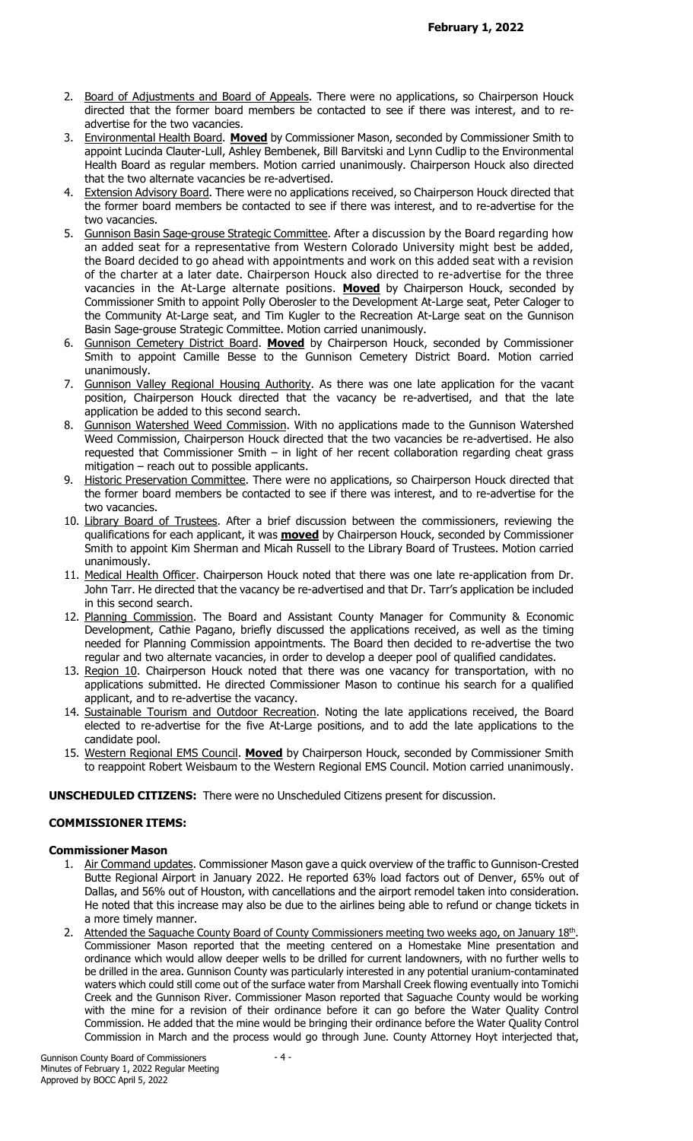- 2. Board of Adjustments and Board of Appeals. There were no applications, so Chairperson Houck directed that the former board members be contacted to see if there was interest, and to readvertise for the two vacancies.
- 3. Environmental Health Board. Moved by Commissioner Mason, seconded by Commissioner Smith to appoint Lucinda Clauter-Lull, Ashley Bembenek, Bill Barvitski and Lynn Cudlip to the Environmental Health Board as regular members. Motion carried unanimously. Chairperson Houck also directed that the two alternate vacancies be re-advertised.
- 4. Extension Advisory Board. There were no applications received, so Chairperson Houck directed that the former board members be contacted to see if there was interest, and to re-advertise for the two vacancies.
- 5. Gunnison Basin Sage-grouse Strategic Committee. After a discussion by the Board regarding how an added seat for a representative from Western Colorado University might best be added, the Board decided to go ahead with appointments and work on this added seat with a revision of the charter at a later date. Chairperson Houck also directed to re-advertise for the three vacancies in the At-Large alternate positions. Moved by Chairperson Houck, seconded by Commissioner Smith to appoint Polly Oberosler to the Development At-Large seat, Peter Caloger to the Community At-Large seat, and Tim Kugler to the Recreation At-Large seat on the Gunnison Basin Sage-grouse Strategic Committee. Motion carried unanimously.
- 6. Gunnison Cemetery District Board. Moved by Chairperson Houck, seconded by Commissioner Smith to appoint Camille Besse to the Gunnison Cemetery District Board. Motion carried unanimously.
- 7. Gunnison Valley Regional Housing Authority. As there was one late application for the vacant position, Chairperson Houck directed that the vacancy be re-advertised, and that the late application be added to this second search.
- 8. Gunnison Watershed Weed Commission. With no applications made to the Gunnison Watershed Weed Commission, Chairperson Houck directed that the two vacancies be re-advertised. He also requested that Commissioner Smith – in light of her recent collaboration regarding cheat grass mitigation – reach out to possible applicants.
- 9. Historic Preservation Committee. There were no applications, so Chairperson Houck directed that the former board members be contacted to see if there was interest, and to re-advertise for the two vacancies.
- 10. Library Board of Trustees. After a brief discussion between the commissioners, reviewing the qualifications for each applicant, it was **moved** by Chairperson Houck, seconded by Commissioner Smith to appoint Kim Sherman and Micah Russell to the Library Board of Trustees. Motion carried unanimously.
- 11. Medical Health Officer. Chairperson Houck noted that there was one late re-application from Dr. John Tarr. He directed that the vacancy be re-advertised and that Dr. Tarr's application be included in this second search.
- 12. Planning Commission. The Board and Assistant County Manager for Community & Economic Development, Cathie Pagano, briefly discussed the applications received, as well as the timing needed for Planning Commission appointments. The Board then decided to re-advertise the two regular and two alternate vacancies, in order to develop a deeper pool of qualified candidates.
- 13. Region 10. Chairperson Houck noted that there was one vacancy for transportation, with no applications submitted. He directed Commissioner Mason to continue his search for a qualified applicant, and to re-advertise the vacancy.
- 14. Sustainable Tourism and Outdoor Recreation. Noting the late applications received, the Board elected to re-advertise for the five At-Large positions, and to add the late applications to the candidate pool.
- 15. Western Regional EMS Council. Moved by Chairperson Houck, seconded by Commissioner Smith to reappoint Robert Weisbaum to the Western Regional EMS Council. Motion carried unanimously.

# UNSCHEDULED CITIZENS: There were no Unscheduled Citizens present for discussion.

# COMMISSIONER ITEMS:

# Commissioner Mason

- 1. Air Command updates. Commissioner Mason gave a quick overview of the traffic to Gunnison-Crested Butte Regional Airport in January 2022. He reported 63% load factors out of Denver, 65% out of Dallas, and 56% out of Houston, with cancellations and the airport remodel taken into consideration. He noted that this increase may also be due to the airlines being able to refund or change tickets in a more timely manner.
- 2. Attended the Saguache County Board of County Commissioners meeting two weeks ago, on January 18<sup>th</sup>. Commissioner Mason reported that the meeting centered on a Homestake Mine presentation and ordinance which would allow deeper wells to be drilled for current landowners, with no further wells to be drilled in the area. Gunnison County was particularly interested in any potential uranium-contaminated waters which could still come out of the surface water from Marshall Creek flowing eventually into Tomichi Creek and the Gunnison River. Commissioner Mason reported that Saguache County would be working with the mine for a revision of their ordinance before it can go before the Water Quality Control Commission. He added that the mine would be bringing their ordinance before the Water Quality Control Commission in March and the process would go through June. County Attorney Hoyt interjected that,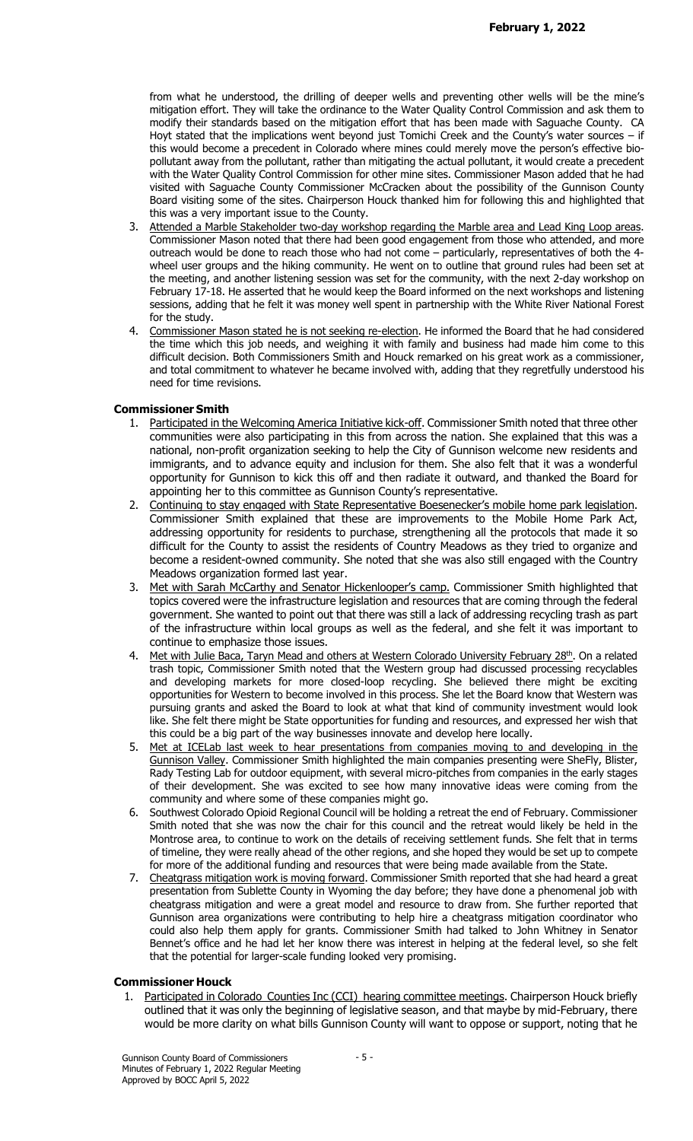from what he understood, the drilling of deeper wells and preventing other wells will be the mine's mitigation effort. They will take the ordinance to the Water Quality Control Commission and ask them to modify their standards based on the mitigation effort that has been made with Saguache County. CA Hoyt stated that the implications went beyond just Tomichi Creek and the County's water sources - if this would become a precedent in Colorado where mines could merely move the person's effective biopollutant away from the pollutant, rather than mitigating the actual pollutant, it would create a precedent with the Water Quality Control Commission for other mine sites. Commissioner Mason added that he had visited with Saguache County Commissioner McCracken about the possibility of the Gunnison County Board visiting some of the sites. Chairperson Houck thanked him for following this and highlighted that this was a very important issue to the County.

- 3. Attended a Marble Stakeholder two-day workshop regarding the Marble area and Lead King Loop areas. Commissioner Mason noted that there had been good engagement from those who attended, and more outreach would be done to reach those who had not come – particularly, representatives of both the 4 wheel user groups and the hiking community. He went on to outline that ground rules had been set at the meeting, and another listening session was set for the community, with the next 2-day workshop on February 17-18. He asserted that he would keep the Board informed on the next workshops and listening sessions, adding that he felt it was money well spent in partnership with the White River National Forest for the study.
- 4. Commissioner Mason stated he is not seeking re-election. He informed the Board that he had considered the time which this job needs, and weighing it with family and business had made him come to this difficult decision. Both Commissioners Smith and Houck remarked on his great work as a commissioner, and total commitment to whatever he became involved with, adding that they regretfully understood his need for time revisions.

# Commissioner Smith

- 1. Participated in the Welcoming America Initiative kick-off. Commissioner Smith noted that three other communities were also participating in this from across the nation. She explained that this was a national, non-profit organization seeking to help the City of Gunnison welcome new residents and immigrants, and to advance equity and inclusion for them. She also felt that it was a wonderful opportunity for Gunnison to kick this off and then radiate it outward, and thanked the Board for appointing her to this committee as Gunnison County's representative.
- 2. Continuing to stay engaged with State Representative Boesenecker's mobile home park legislation. Commissioner Smith explained that these are improvements to the Mobile Home Park Act, addressing opportunity for residents to purchase, strengthening all the protocols that made it so difficult for the County to assist the residents of Country Meadows as they tried to organize and become a resident-owned community. She noted that she was also still engaged with the Country Meadows organization formed last year.
- 3. Met with Sarah McCarthy and Senator Hickenlooper's camp. Commissioner Smith highlighted that topics covered were the infrastructure legislation and resources that are coming through the federal government. She wanted to point out that there was still a lack of addressing recycling trash as part of the infrastructure within local groups as well as the federal, and she felt it was important to continue to emphasize those issues.
- 4. Met with Julie Baca, Taryn Mead and others at Western Colorado University February 28<sup>th</sup>. On a related trash topic, Commissioner Smith noted that the Western group had discussed processing recyclables and developing markets for more closed-loop recycling. She believed there might be exciting opportunities for Western to become involved in this process. She let the Board know that Western was pursuing grants and asked the Board to look at what that kind of community investment would look like. She felt there might be State opportunities for funding and resources, and expressed her wish that this could be a big part of the way businesses innovate and develop here locally.
- 5. Met at ICELab last week to hear presentations from companies moving to and developing in the Gunnison Valley. Commissioner Smith highlighted the main companies presenting were SheFly, Blister, Rady Testing Lab for outdoor equipment, with several micro-pitches from companies in the early stages of their development. She was excited to see how many innovative ideas were coming from the community and where some of these companies might go.
- 6. Southwest Colorado Opioid Regional Council will be holding a retreat the end of February. Commissioner Smith noted that she was now the chair for this council and the retreat would likely be held in the Montrose area, to continue to work on the details of receiving settlement funds. She felt that in terms of timeline, they were really ahead of the other regions, and she hoped they would be set up to compete for more of the additional funding and resources that were being made available from the State.
- 7. Cheatgrass mitigation work is moving forward. Commissioner Smith reported that she had heard a great presentation from Sublette County in Wyoming the day before; they have done a phenomenal job with cheatgrass mitigation and were a great model and resource to draw from. She further reported that Gunnison area organizations were contributing to help hire a cheatgrass mitigation coordinator who could also help them apply for grants. Commissioner Smith had talked to John Whitney in Senator Bennet's office and he had let her know there was interest in helping at the federal level, so she felt that the potential for larger-scale funding looked very promising.

### Commissioner Houck

Participated in Colorado Counties Inc (CCI) hearing committee meetings. Chairperson Houck briefly outlined that it was only the beginning of legislative season, and that maybe by mid-February, there would be more clarity on what bills Gunnison County will want to oppose or support, noting that he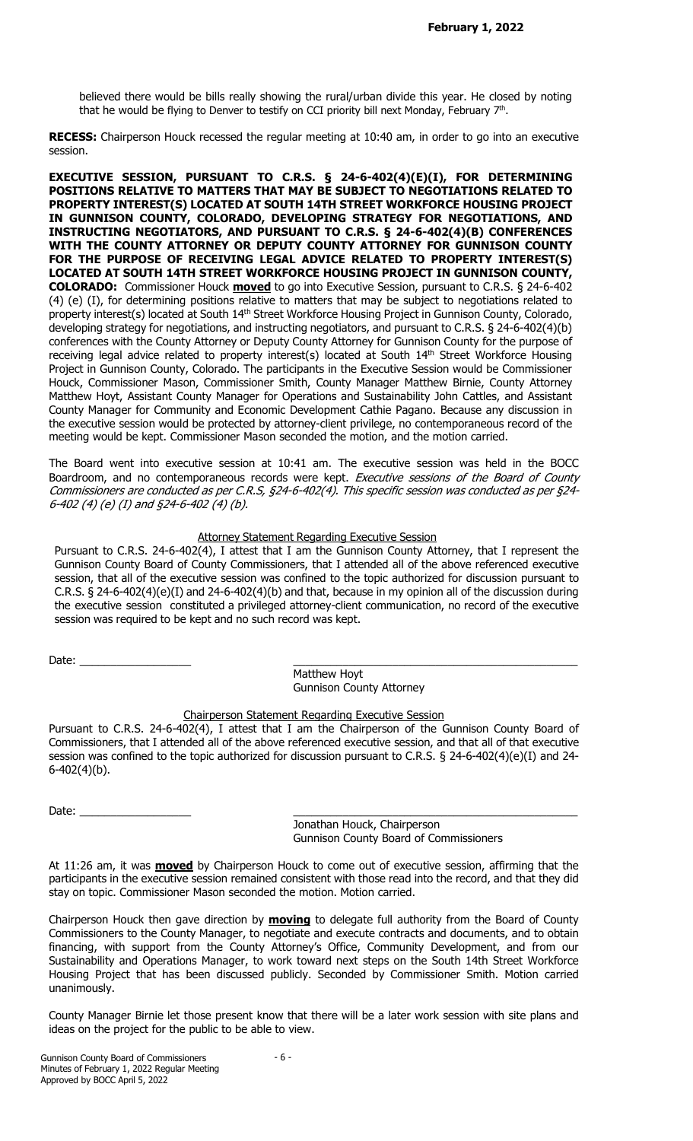believed there would be bills really showing the rural/urban divide this year. He closed by noting that he would be flying to Denver to testify on CCI priority bill next Monday, February  $7<sup>th</sup>$ .

RECESS: Chairperson Houck recessed the regular meeting at 10:40 am, in order to go into an executive session.

EXECUTIVE SESSION, PURSUANT TO C.R.S. § 24-6-402(4)(E)(I), FOR DETERMINING POSITIONS RELATIVE TO MATTERS THAT MAY BE SUBJECT TO NEGOTIATIONS RELATED TO PROPERTY INTEREST(S) LOCATED AT SOUTH 14TH STREET WORKFORCE HOUSING PROJECT IN GUNNISON COUNTY, COLORADO, DEVELOPING STRATEGY FOR NEGOTIATIONS, AND INSTRUCTING NEGOTIATORS, AND PURSUANT TO C.R.S. § 24-6-402(4)(B) CONFERENCES WITH THE COUNTY ATTORNEY OR DEPUTY COUNTY ATTORNEY FOR GUNNISON COUNTY FOR THE PURPOSE OF RECEIVING LEGAL ADVICE RELATED TO PROPERTY INTEREST(S) LOCATED AT SOUTH 14TH STREET WORKFORCE HOUSING PROJECT IN GUNNISON COUNTY, **COLORADO:** Commissioner Houck **moved** to go into Executive Session, pursuant to C.R.S. § 24-6-402 (4) (e) (I), for determining positions relative to matters that may be subject to negotiations related to property interest(s) located at South 14<sup>th</sup> Street Workforce Housing Project in Gunnison County, Colorado, developing strategy for negotiations, and instructing negotiators, and pursuant to C.R.S. § 24-6-402(4)(b) conferences with the County Attorney or Deputy County Attorney for Gunnison County for the purpose of receiving legal advice related to property interest(s) located at South 14<sup>th</sup> Street Workforce Housing Project in Gunnison County, Colorado. The participants in the Executive Session would be Commissioner Houck, Commissioner Mason, Commissioner Smith, County Manager Matthew Birnie, County Attorney Matthew Hoyt, Assistant County Manager for Operations and Sustainability John Cattles, and Assistant County Manager for Community and Economic Development Cathie Pagano. Because any discussion in the executive session would be protected by attorney-client privilege, no contemporaneous record of the meeting would be kept. Commissioner Mason seconded the motion, and the motion carried.

The Board went into executive session at 10:41 am. The executive session was held in the BOCC Boardroom, and no contemporaneous records were kept. Executive sessions of the Board of County Commissioners are conducted as per C.R.S, §24-6-402(4). This specific session was conducted as per §24- 6-402 (4) (e) (I) and §24-6-402 (4) (b).

## Attorney Statement Regarding Executive Session

Pursuant to C.R.S. 24-6-402(4), I attest that I am the Gunnison County Attorney, that I represent the Gunnison County Board of County Commissioners, that I attended all of the above referenced executive session, that all of the executive session was confined to the topic authorized for discussion pursuant to C.R.S.  $\S$  24-6-402(4)(e)(I) and 24-6-402(4)(b) and that, because in my opinion all of the discussion during the executive session constituted a privileged attorney-client communication, no record of the executive session was required to be kept and no such record was kept.

Date: \_\_\_\_\_\_\_\_\_\_\_\_\_\_\_\_\_\_ \_\_\_\_\_\_\_\_\_\_\_\_\_\_\_\_\_\_\_\_\_\_\_\_\_\_\_\_\_\_\_\_\_\_\_\_\_\_\_\_\_\_\_\_\_\_

 Matthew Hoyt Gunnison County Attorney

# Chairperson Statement Regarding Executive Session

Pursuant to C.R.S. 24-6-402(4), I attest that I am the Chairperson of the Gunnison County Board of Commissioners, that I attended all of the above referenced executive session, and that all of that executive session was confined to the topic authorized for discussion pursuant to C.R.S. § 24-6-402(4)(e)(I) and 24- 6-402(4)(b).

Date:  $\Box$ 

 Jonathan Houck, Chairperson Gunnison County Board of Commissioners

At 11:26 am, it was **moved** by Chairperson Houck to come out of executive session, affirming that the participants in the executive session remained consistent with those read into the record, and that they did stay on topic. Commissioner Mason seconded the motion. Motion carried.

Chairperson Houck then gave direction by **moving** to delegate full authority from the Board of County Commissioners to the County Manager, to negotiate and execute contracts and documents, and to obtain financing, with support from the County Attorney's Office, Community Development, and from our Sustainability and Operations Manager, to work toward next steps on the South 14th Street Workforce Housing Project that has been discussed publicly. Seconded by Commissioner Smith. Motion carried unanimously.

County Manager Birnie let those present know that there will be a later work session with site plans and ideas on the project for the public to be able to view.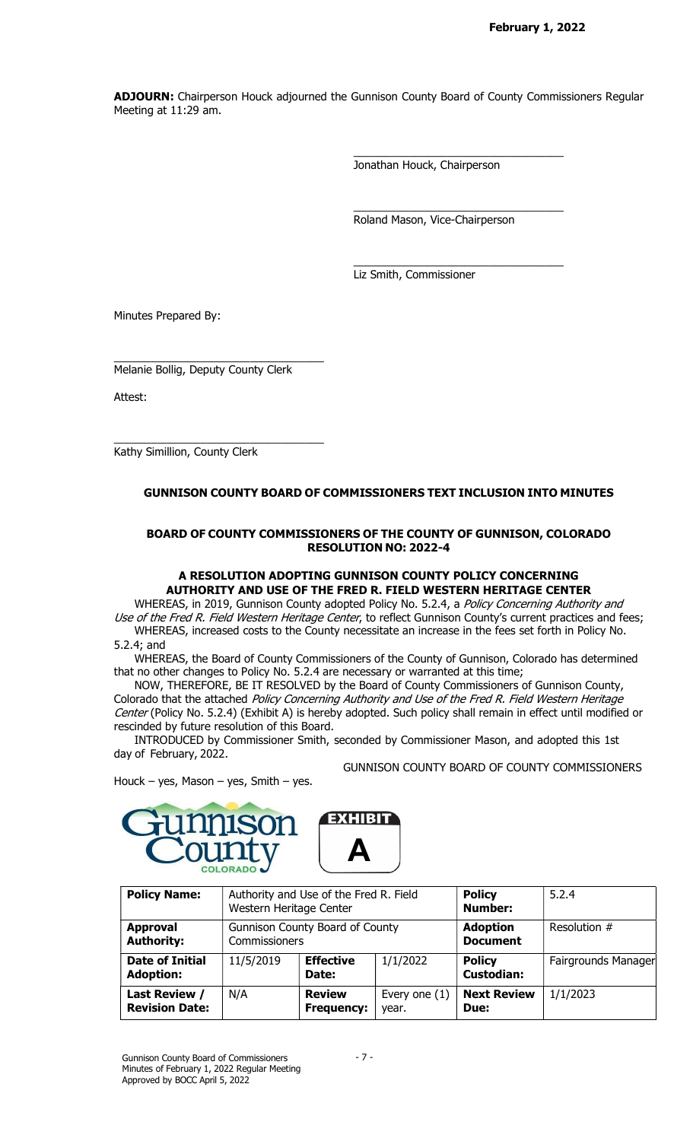ADJOURN: Chairperson Houck adjourned the Gunnison County Board of County Commissioners Regular Meeting at 11:29 am.

Jonathan Houck, Chairperson

\_\_\_\_\_\_\_\_\_\_\_\_\_\_\_\_\_\_\_\_\_\_\_\_\_\_\_\_\_\_\_\_\_\_

\_\_\_\_\_\_\_\_\_\_\_\_\_\_\_\_\_\_\_\_\_\_\_\_\_\_\_\_\_\_\_\_\_\_

\_\_\_\_\_\_\_\_\_\_\_\_\_\_\_\_\_\_\_\_\_\_\_\_\_\_\_\_\_\_\_\_\_\_

Roland Mason, Vice-Chairperson

Liz Smith, Commissioner

Minutes Prepared By:

Melanie Bollig, Deputy County Clerk

\_\_\_\_\_\_\_\_\_\_\_\_\_\_\_\_\_\_\_\_\_\_\_\_\_\_\_\_\_\_\_\_\_\_

\_\_\_\_\_\_\_\_\_\_\_\_\_\_\_\_\_\_\_\_\_\_\_\_\_\_\_\_\_\_\_\_\_\_

Attest:

Kathy Simillion, County Clerk

# GUNNISON COUNTY BOARD OF COMMISSIONERS TEXT INCLUSION INTO MINUTES

## BOARD OF COUNTY COMMISSIONERS OF THE COUNTY OF GUNNISON, COLORADO RESOLUTION NO: 2022-4

## A RESOLUTION ADOPTING GUNNISON COUNTY POLICY CONCERNING AUTHORITY AND USE OF THE FRED R. FIELD WESTERN HERITAGE CENTER

WHEREAS, in 2019, Gunnison County adopted Policy No. 5.2.4, a Policy Concerning Authority and Use of the Fred R. Field Western Heritage Center, to reflect Gunnison County's current practices and fees;

WHEREAS, increased costs to the County necessitate an increase in the fees set forth in Policy No. 5.2.4; and

WHEREAS, the Board of County Commissioners of the County of Gunnison, Colorado has determined that no other changes to Policy No. 5.2.4 are necessary or warranted at this time;

NOW, THEREFORE, BE IT RESOLVED by the Board of County Commissioners of Gunnison County, Colorado that the attached Policy Concerning Authority and Use of the Fred R. Field Western Heritage Center (Policy No. 5.2.4) (Exhibit A) is hereby adopted. Such policy shall remain in effect until modified or rescinded by future resolution of this Board.

GUNNISON COUNTY BOARD OF COUNTY COMMISSIONERS

INTRODUCED by Commissioner Smith, seconded by Commissioner Mason, and adopted this 1st day of February, 2022.

Houck – yes, Mason – yes, Smith – yes.



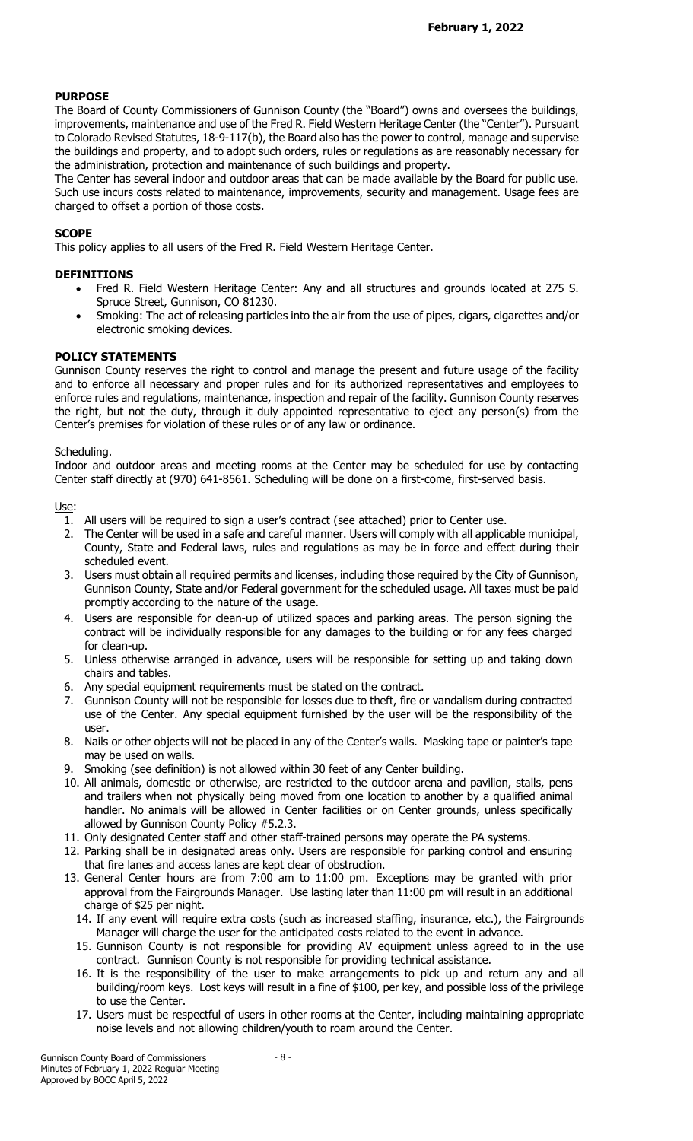# PURPOSE

The Board of County Commissioners of Gunnison County (the "Board") owns and oversees the buildings, improvements, maintenance and use of the Fred R. Field Western Heritage Center (the "Center"). Pursuant to Colorado Revised Statutes, 18-9-117(b), the Board also has the power to control, manage and supervise the buildings and property, and to adopt such orders, rules or regulations as are reasonably necessary for the administration, protection and maintenance of such buildings and property.

The Center has several indoor and outdoor areas that can be made available by the Board for public use. Such use incurs costs related to maintenance, improvements, security and management. Usage fees are charged to offset a portion of those costs.

# **SCOPE**

This policy applies to all users of the Fred R. Field Western Heritage Center.

# DEFINITIONS

- Fred R. Field Western Heritage Center: Any and all structures and grounds located at 275 S. Spruce Street, Gunnison, CO 81230.
- Smoking: The act of releasing particles into the air from the use of pipes, cigars, cigarettes and/or electronic smoking devices.

# POLICY STATEMENTS

Gunnison County reserves the right to control and manage the present and future usage of the facility and to enforce all necessary and proper rules and for its authorized representatives and employees to enforce rules and regulations, maintenance, inspection and repair of the facility. Gunnison County reserves the right, but not the duty, through it duly appointed representative to eject any person(s) from the Center's premises for violation of these rules or of any law or ordinance.

## Scheduling.

Indoor and outdoor areas and meeting rooms at the Center may be scheduled for use by contacting Center staff directly at (970) 641-8561. Scheduling will be done on a first-come, first-served basis.

### Use:

- 1. All users will be required to sign a user's contract (see attached) prior to Center use.
- 2. The Center will be used in a safe and careful manner. Users will comply with all applicable municipal, County, State and Federal laws, rules and regulations as may be in force and effect during their scheduled event.
- 3. Users must obtain all required permits and licenses, including those required by the City of Gunnison, Gunnison County, State and/or Federal government for the scheduled usage. All taxes must be paid promptly according to the nature of the usage.
- 4. Users are responsible for clean-up of utilized spaces and parking areas. The person signing the contract will be individually responsible for any damages to the building or for any fees charged for clean-up.
- 5. Unless otherwise arranged in advance, users will be responsible for setting up and taking down chairs and tables.
- 6. Any special equipment requirements must be stated on the contract.
- 7. Gunnison County will not be responsible for losses due to theft, fire or vandalism during contracted use of the Center. Any special equipment furnished by the user will be the responsibility of the user.
- 8. Nails or other objects will not be placed in any of the Center's walls. Masking tape or painter's tape may be used on walls.
- 9. Smoking (see definition) is not allowed within 30 feet of any Center building.
- 10. All animals, domestic or otherwise, are restricted to the outdoor arena and pavilion, stalls, pens and trailers when not physically being moved from one location to another by a qualified animal handler. No animals will be allowed in Center facilities or on Center grounds, unless specifically allowed by Gunnison County Policy #5.2.3.
- 11. Only designated Center staff and other staff-trained persons may operate the PA systems.
- 12. Parking shall be in designated areas only. Users are responsible for parking control and ensuring that fire lanes and access lanes are kept clear of obstruction.
- 13. General Center hours are from 7:00 am to 11:00 pm. Exceptions may be granted with prior approval from the Fairgrounds Manager. Use lasting later than 11:00 pm will result in an additional charge of \$25 per night.
	- 14. If any event will require extra costs (such as increased staffing, insurance, etc.), the Fairgrounds Manager will charge the user for the anticipated costs related to the event in advance.
	- 15. Gunnison County is not responsible for providing AV equipment unless agreed to in the use contract. Gunnison County is not responsible for providing technical assistance.
	- 16. It is the responsibility of the user to make arrangements to pick up and return any and all building/room keys. Lost keys will result in a fine of \$100, per key, and possible loss of the privilege to use the Center.
	- 17. Users must be respectful of users in other rooms at the Center, including maintaining appropriate noise levels and not allowing children/youth to roam around the Center.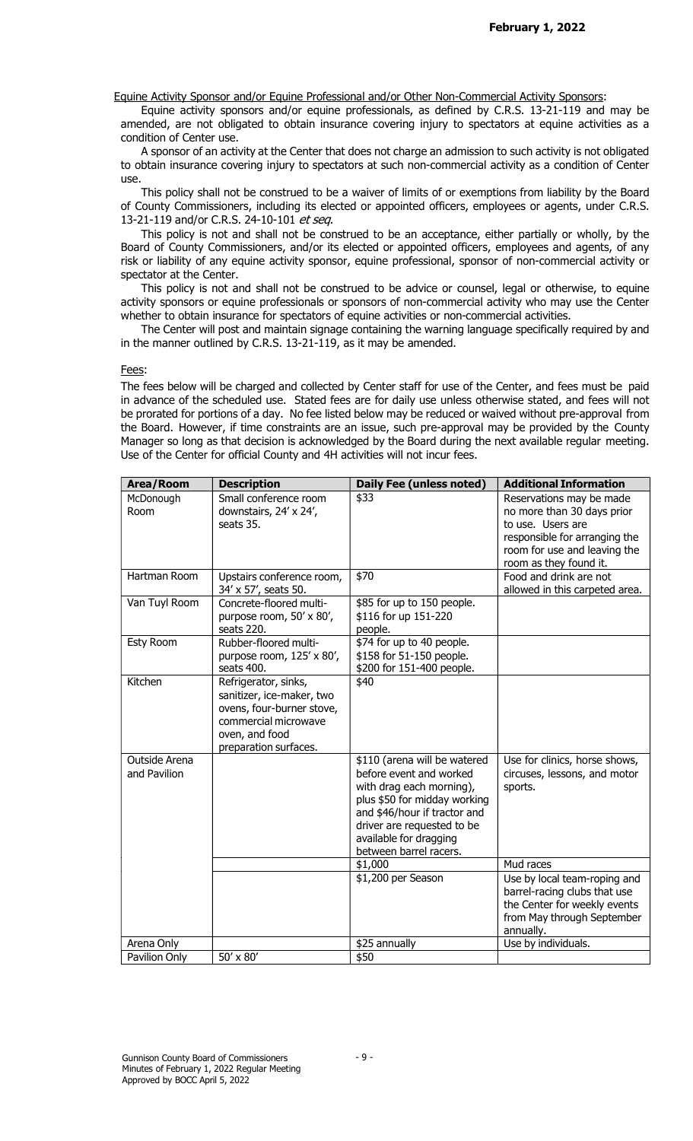Equine Activity Sponsor and/or Equine Professional and/or Other Non-Commercial Activity Sponsors:

Equine activity sponsors and/or equine professionals, as defined by C.R.S. 13-21-119 and may be amended, are not obligated to obtain insurance covering injury to spectators at equine activities as a condition of Center use.

A sponsor of an activity at the Center that does not charge an admission to such activity is not obligated to obtain insurance covering injury to spectators at such non-commercial activity as a condition of Center use.

This policy shall not be construed to be a waiver of limits of or exemptions from liability by the Board of County Commissioners, including its elected or appointed officers, employees or agents, under C.R.S. 13-21-119 and/or C.R.S. 24-10-101 et seq.

This policy is not and shall not be construed to be an acceptance, either partially or wholly, by the Board of County Commissioners, and/or its elected or appointed officers, employees and agents, of any risk or liability of any equine activity sponsor, equine professional, sponsor of non-commercial activity or spectator at the Center.

This policy is not and shall not be construed to be advice or counsel, legal or otherwise, to equine activity sponsors or equine professionals or sponsors of non-commercial activity who may use the Center whether to obtain insurance for spectators of equine activities or non-commercial activities.

The Center will post and maintain signage containing the warning language specifically required by and in the manner outlined by C.R.S. 13-21-119, as it may be amended.

### Fees:

The fees below will be charged and collected by Center staff for use of the Center, and fees must be paid in advance of the scheduled use. Stated fees are for daily use unless otherwise stated, and fees will not be prorated for portions of a day. No fee listed below may be reduced or waived without pre-approval from the Board. However, if time constraints are an issue, such pre-approval may be provided by the County Manager so long as that decision is acknowledged by the Board during the next available regular meeting. Use of the Center for official County and 4H activities will not incur fees.

| Area/Room                     | <b>Description</b>                                                                                                                                | <b>Daily Fee (unless noted)</b>                                                                                                                                                                                                       | <b>Additional Information</b>                                                                                                                |
|-------------------------------|---------------------------------------------------------------------------------------------------------------------------------------------------|---------------------------------------------------------------------------------------------------------------------------------------------------------------------------------------------------------------------------------------|----------------------------------------------------------------------------------------------------------------------------------------------|
| McDonough<br>Room             | Small conference room<br>downstairs, 24' x 24',<br>seats 35.                                                                                      | \$33                                                                                                                                                                                                                                  | Reservations may be made<br>no more than 30 days prior<br>to use. Users are<br>responsible for arranging the<br>room for use and leaving the |
|                               |                                                                                                                                                   |                                                                                                                                                                                                                                       | room as they found it.                                                                                                                       |
| Hartman Room                  | Upstairs conference room,<br>34' x 57', seats 50.                                                                                                 | $\overline{$}70$                                                                                                                                                                                                                      | Food and drink are not<br>allowed in this carpeted area.                                                                                     |
| Van Tuyl Room                 | Concrete-floored multi-<br>purpose room, 50' x 80',<br>seats 220.                                                                                 | \$85 for up to 150 people.<br>\$116 for up 151-220<br>people.                                                                                                                                                                         |                                                                                                                                              |
| <b>Esty Room</b>              | Rubber-floored multi-<br>purpose room, 125' x 80',<br>seats 400.                                                                                  | \$74 for up to 40 people.<br>\$158 for 51-150 people.<br>\$200 for 151-400 people.                                                                                                                                                    |                                                                                                                                              |
| Kitchen                       | Refrigerator, sinks,<br>sanitizer, ice-maker, two<br>ovens, four-burner stove,<br>commercial microwave<br>oven, and food<br>preparation surfaces. | \$40                                                                                                                                                                                                                                  |                                                                                                                                              |
| Outside Arena<br>and Pavilion |                                                                                                                                                   | \$110 (arena will be watered<br>before event and worked<br>with drag each morning),<br>plus \$50 for midday working<br>and \$46/hour if tractor and<br>driver are requested to be<br>available for dragging<br>between barrel racers. | Use for clinics, horse shows,<br>circuses, lessons, and motor<br>sports.                                                                     |
|                               |                                                                                                                                                   | \$1,000                                                                                                                                                                                                                               | Mud races                                                                                                                                    |
|                               |                                                                                                                                                   | \$1,200 per Season                                                                                                                                                                                                                    | Use by local team-roping and<br>barrel-racing clubs that use<br>the Center for weekly events<br>from May through September<br>annually.      |
| Arena Only                    |                                                                                                                                                   | \$25 annually                                                                                                                                                                                                                         | Use by individuals.                                                                                                                          |
| Pavilion Only                 | 50' x 80'                                                                                                                                         | \$50                                                                                                                                                                                                                                  |                                                                                                                                              |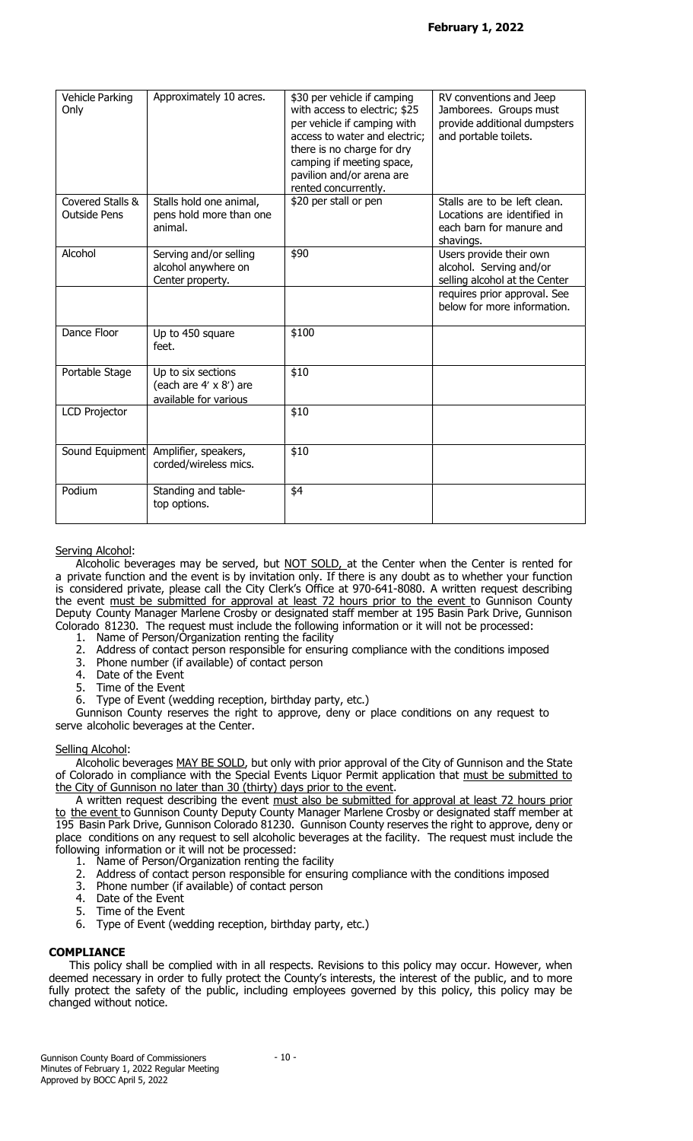| Vehicle Parking<br>Only                 | Approximately 10 acres.                                               | \$30 per vehicle if camping<br>with access to electric; \$25<br>per vehicle if camping with<br>access to water and electric;<br>there is no charge for dry<br>camping if meeting space,<br>pavilion and/or arena are<br>rented concurrently. | RV conventions and Jeep<br>Jamborees. Groups must<br>provide additional dumpsters<br>and portable toilets. |
|-----------------------------------------|-----------------------------------------------------------------------|----------------------------------------------------------------------------------------------------------------------------------------------------------------------------------------------------------------------------------------------|------------------------------------------------------------------------------------------------------------|
| Covered Stalls &<br><b>Outside Pens</b> | Stalls hold one animal,<br>pens hold more than one<br>animal.         | \$20 per stall or pen                                                                                                                                                                                                                        | Stalls are to be left clean.<br>Locations are identified in<br>each barn for manure and<br>shavings.       |
| Alcohol                                 | Serving and/or selling<br>alcohol anywhere on<br>Center property.     | \$90                                                                                                                                                                                                                                         | Users provide their own<br>alcohol. Serving and/or<br>selling alcohol at the Center                        |
|                                         |                                                                       |                                                                                                                                                                                                                                              | requires prior approval. See<br>below for more information.                                                |
| Dance Floor                             | Up to 450 square<br>feet.                                             | \$100                                                                                                                                                                                                                                        |                                                                                                            |
| Portable Stage                          | Up to six sections<br>(each are 4' x 8') are<br>available for various | \$10                                                                                                                                                                                                                                         |                                                                                                            |
| <b>LCD Projector</b>                    |                                                                       | \$10                                                                                                                                                                                                                                         |                                                                                                            |
| Sound Equipment                         | Amplifier, speakers,<br>corded/wireless mics.                         | \$10                                                                                                                                                                                                                                         |                                                                                                            |
| Podium                                  | Standing and table-<br>top options.                                   | \$4                                                                                                                                                                                                                                          |                                                                                                            |

## Serving Alcohol:

Alcoholic beverages may be served, but NOT SOLD, at the Center when the Center is rented for a private function and the event is by invitation only. If there is any doubt as to whether your function is considered private, please call the City Clerk's Office at 970-641-8080. A written request describing the event must be submitted for approval at least 72 hours prior to the event to Gunnison County Deputy County Manager Marlene Crosby or designated staff member at 195 Basin Park Drive, Gunnison Colorado 81230. The request must include the following information or it will not be processed:

- 1. Name of Person/Organization renting the facility
- 2. Address of contact person responsible for ensuring compliance with the conditions imposed<br>3. Phone number (if available) of contact person
- 3. Phone number (if available) of contact person<br>4. Date of the Event
- 4. Date of the Event<br>5. Time of the Event
- Time of the Event
- 6. Type of Event (wedding reception, birthday party, etc.)

Gunnison County reserves the right to approve, deny or place conditions on any request to serve alcoholic beverages at the Center.

### Selling Alcohol:

Alcoholic beverages MAY BE SOLD, but only with prior approval of the City of Gunnison and the State of Colorado in compliance with the Special Events Liquor Permit application that must be submitted to the City of Gunnison no later than 30 (thirty) days prior to the event.

A written request describing the event must also be submitted for approval at least 72 hours prior to the event to Gunnison County Deputy County Manager Marlene Crosby or designated staff member at 195 Basin Park Drive, Gunnison Colorado 81230. Gunnison County reserves the right to approve, deny or place conditions on any request to sell alcoholic beverages at the facility. The request must include the following information or it will not be processed:

- 1. Name of Person/Organization renting the facility
- 2. Address of contact person responsible for ensuring compliance with the conditions imposed<br>3. Phone number (if available) of contact person
- 3. Phone number (if available) of contact person
- Date of the Event
- 5. Time of the Event
- 6. Type of Event (wedding reception, birthday party, etc.)

# **COMPLIANCE**

This policy shall be complied with in all respects. Revisions to this policy may occur. However, when deemed necessary in order to fully protect the County's interests, the interest of the public, and to more fully protect the safety of the public, including employees governed by this policy, this policy may be changed without notice.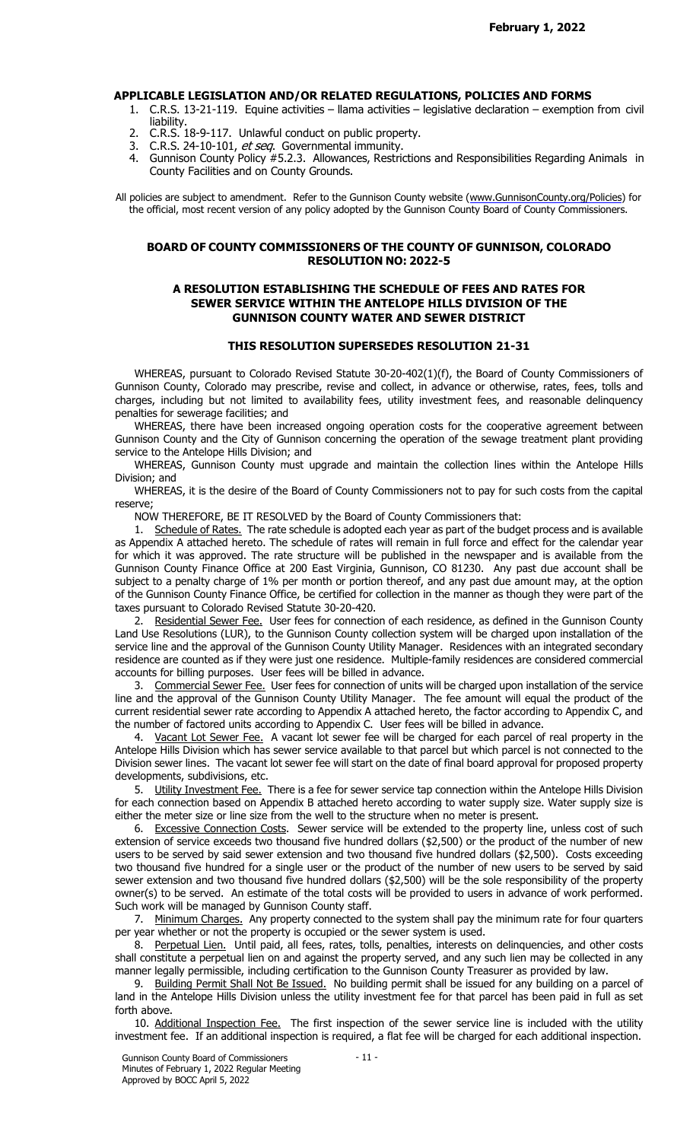### APPLICABLE LEGISLATION AND/OR RELATED REGULATIONS, POLICIES AND FORMS

- 1. C.R.S. 13-21-119. Equine activities llama activities legislative declaration exemption from civil liability.
- 2. C.R.S. 18-9-117. Unlawful conduct on public property.
- 3. C.R.S. 24-10-101, et seq. Governmental immunity.
- 4. Gunnison County Policy #5.2.3. Allowances, Restrictions and Responsibilities Regarding Animals in County Facilities and on County Grounds.

All policies are subject to amendment. Refer to the Gunnison County website (www.GunnisonCounty.org/Policies) for the official, most recent version of any policy adopted by the Gunnison County Board of County Commissioners.

### BOARD OF COUNTY COMMISSIONERS OF THE COUNTY OF GUNNISON, COLORADO RESOLUTION NO: 2022-5

## A RESOLUTION ESTABLISHING THE SCHEDULE OF FEES AND RATES FOR SEWER SERVICE WITHIN THE ANTELOPE HILLS DIVISION OF THE GUNNISON COUNTY WATER AND SEWER DISTRICT

## THIS RESOLUTION SUPERSEDES RESOLUTION 21-31

WHEREAS, pursuant to Colorado Revised Statute 30-20-402(1)(f), the Board of County Commissioners of Gunnison County, Colorado may prescribe, revise and collect, in advance or otherwise, rates, fees, tolls and charges, including but not limited to availability fees, utility investment fees, and reasonable delinquency penalties for sewerage facilities; and

WHEREAS, there have been increased ongoing operation costs for the cooperative agreement between Gunnison County and the City of Gunnison concerning the operation of the sewage treatment plant providing service to the Antelope Hills Division; and

WHEREAS, Gunnison County must upgrade and maintain the collection lines within the Antelope Hills Division; and

WHEREAS, it is the desire of the Board of County Commissioners not to pay for such costs from the capital reserve;

NOW THEREFORE, BE IT RESOLVED by the Board of County Commissioners that:

1. Schedule of Rates. The rate schedule is adopted each year as part of the budget process and is available as Appendix A attached hereto. The schedule of rates will remain in full force and effect for the calendar year for which it was approved. The rate structure will be published in the newspaper and is available from the Gunnison County Finance Office at 200 East Virginia, Gunnison, CO 81230. Any past due account shall be subject to a penalty charge of 1% per month or portion thereof, and any past due amount may, at the option of the Gunnison County Finance Office, be certified for collection in the manner as though they were part of the taxes pursuant to Colorado Revised Statute 30-20-420.

2. Residential Sewer Fee. User fees for connection of each residence, as defined in the Gunnison County Land Use Resolutions (LUR), to the Gunnison County collection system will be charged upon installation of the service line and the approval of the Gunnison County Utility Manager. Residences with an integrated secondary residence are counted as if they were just one residence. Multiple-family residences are considered commercial accounts for billing purposes. User fees will be billed in advance.

3. Commercial Sewer Fee. User fees for connection of units will be charged upon installation of the service line and the approval of the Gunnison County Utility Manager. The fee amount will equal the product of the current residential sewer rate according to Appendix A attached hereto, the factor according to Appendix C, and the number of factored units according to Appendix C. User fees will be billed in advance.

4. Vacant Lot Sewer Fee. A vacant lot sewer fee will be charged for each parcel of real property in the Antelope Hills Division which has sewer service available to that parcel but which parcel is not connected to the Division sewer lines. The vacant lot sewer fee will start on the date of final board approval for proposed property developments, subdivisions, etc.

5. Utility Investment Fee. There is a fee for sewer service tap connection within the Antelope Hills Division for each connection based on Appendix B attached hereto according to water supply size. Water supply size is either the meter size or line size from the well to the structure when no meter is present.

6. Excessive Connection Costs. Sewer service will be extended to the property line, unless cost of such extension of service exceeds two thousand five hundred dollars (\$2,500) or the product of the number of new users to be served by said sewer extension and two thousand five hundred dollars (\$2,500). Costs exceeding two thousand five hundred for a single user or the product of the number of new users to be served by said sewer extension and two thousand five hundred dollars (\$2,500) will be the sole responsibility of the property owner(s) to be served. An estimate of the total costs will be provided to users in advance of work performed. Such work will be managed by Gunnison County staff.

7. Minimum Charges. Any property connected to the system shall pay the minimum rate for four quarters per year whether or not the property is occupied or the sewer system is used.

8. Perpetual Lien. Until paid, all fees, rates, tolls, penalties, interests on delinquencies, and other costs shall constitute a perpetual lien on and against the property served, and any such lien may be collected in any manner legally permissible, including certification to the Gunnison County Treasurer as provided by law.

9. Building Permit Shall Not Be Issued. No building permit shall be issued for any building on a parcel of land in the Antelope Hills Division unless the utility investment fee for that parcel has been paid in full as set forth above.

10. Additional Inspection Fee. The first inspection of the sewer service line is included with the utility investment fee. If an additional inspection is required, a flat fee will be charged for each additional inspection.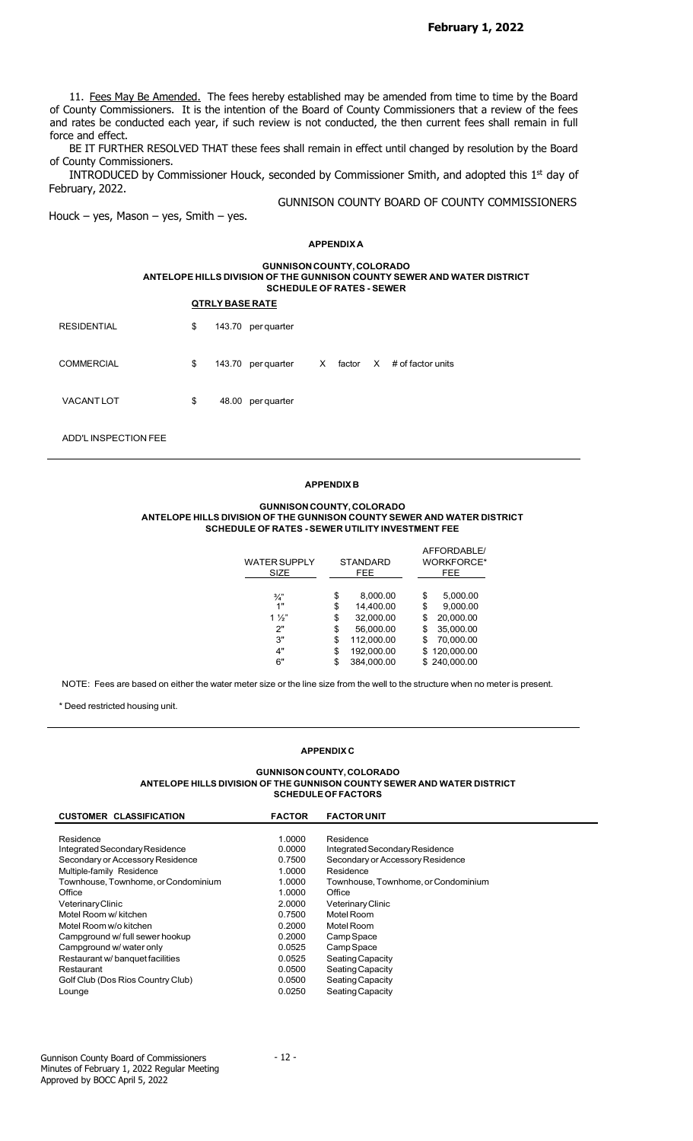February 1, 2022

11. Fees May Be Amended. The fees hereby established may be amended from time to time by the Board of County Commissioners. It is the intention of the Board of County Commissioners that a review of the fees and rates be conducted each year, if such review is not conducted, the then current fees shall remain in full force and effect.

BE IT FURTHER RESOLVED THAT these fees shall remain in effect until changed by resolution by the Board of County Commissioners.

INTRODUCED by Commissioner Houck, seconded by Commissioner Smith, and adopted this  $1<sup>st</sup>$  day of February, 2022.

GUNNISON COUNTY BOARD OF COUNTY COMMISSIONERS

Houck – yes, Mason – yes, Smith – yes.

### APPENDIX A

#### GUNNISON COUNTY, COLORADO ANTELOPE HILLS DIVISION OF THE GUNNISON COUNTY SEWER AND WATER DISTRICT SCHEDULE OF RATES - SEWER

| <b>RESIDENTIAL</b> | \$ | 143.70 per quarter |              |          |                   |
|--------------------|----|--------------------|--------------|----------|-------------------|
| <b>COMMERCIAL</b>  | \$ | 143.70 per quarter | $\mathsf{X}$ | factor X | # of factor units |
| <b>VACANTLOT</b>   | \$ | 48.00 per quarter  |              |          |                   |

ADD'L INSPECTION FEE

### APPENDIX B

#### GUNNISON COUNTY, COLORADO ANTELOPE HILLS DIVISION OF THE GUNNISON COUNTY SEWER AND WATER DISTRICT SCHEDULE OF RATES - SEWER UTILITY INVESTMENT FEE

| <b>WATER SUPPLY</b> | <b>STANDARD</b>  | AFFORDABLE/<br><b>WORKFORCE*</b> |
|---------------------|------------------|----------------------------------|
| SIZE                | FEE.             | FEE.                             |
| $\frac{3}{4}$       | \$<br>8,000.00   | \$<br>5,000.00                   |
| 1"                  | \$<br>14,400.00  | \$<br>9,000.00                   |
| $1\frac{1}{2}$      | \$<br>32,000.00  | \$<br>20,000.00                  |
| 2"                  | \$<br>56,000.00  | \$<br>35,000.00                  |
| 3"                  | \$<br>112.000.00 | \$<br>70,000.00                  |
| 4"                  | \$<br>192,000.00 | \$120,000.00                     |
| 6"                  | \$<br>384.000.00 | \$240,000.00                     |

NOTE: Fees are based on either the water meter size or the line size from the well to the structure when no meter is present.

\* Deed restricted housing unit.

#### APPENDIX C

#### GUNNISON COUNTY, COLORADO ANTELOPE HILLS DIVISION OF THE GUNNISON COUNTY SEWER AND WATER DISTRICT SCHEDULE OF FACTORS

| <b>CUSTOMER CLASSIFICATION</b>      | <b>FACTOR</b> | <b>FACTOR UNIT</b>                  |
|-------------------------------------|---------------|-------------------------------------|
|                                     |               |                                     |
| Residence                           | 1.0000        | Residence                           |
| Integrated Secondary Residence      | 0.0000        | Integrated Secondary Residence      |
| Secondary or Accessory Residence    | 0.7500        | Secondary or Accessory Residence    |
| Multiple-family Residence           | 1.0000        | Residence                           |
| Townhouse, Townhome, or Condominium | 1.0000        | Townhouse, Townhome, or Condominium |
| Office                              | 1.0000        | Office                              |
| Veterinary Clinic                   | 2.0000        | Veterinary Clinic                   |
| Motel Room w/ kitchen               | 0.7500        | Motel Room                          |
| Motel Room w/o kitchen              | 0.2000        | Motel Room                          |
| Campground w/ full sewer hookup     | 0.2000        | Camp Space                          |
| Campground w/ water only            | 0.0525        | Camp Space                          |
| Restaurant w/ banquet facilities    | 0.0525        | Seating Capacity                    |
| Restaurant                          | 0.0500        | Seating Capacity                    |
| Golf Club (Dos Rios Country Club)   | 0.0500        | Seating Capacity                    |
| Lounge                              | 0.0250        | Seating Capacity                    |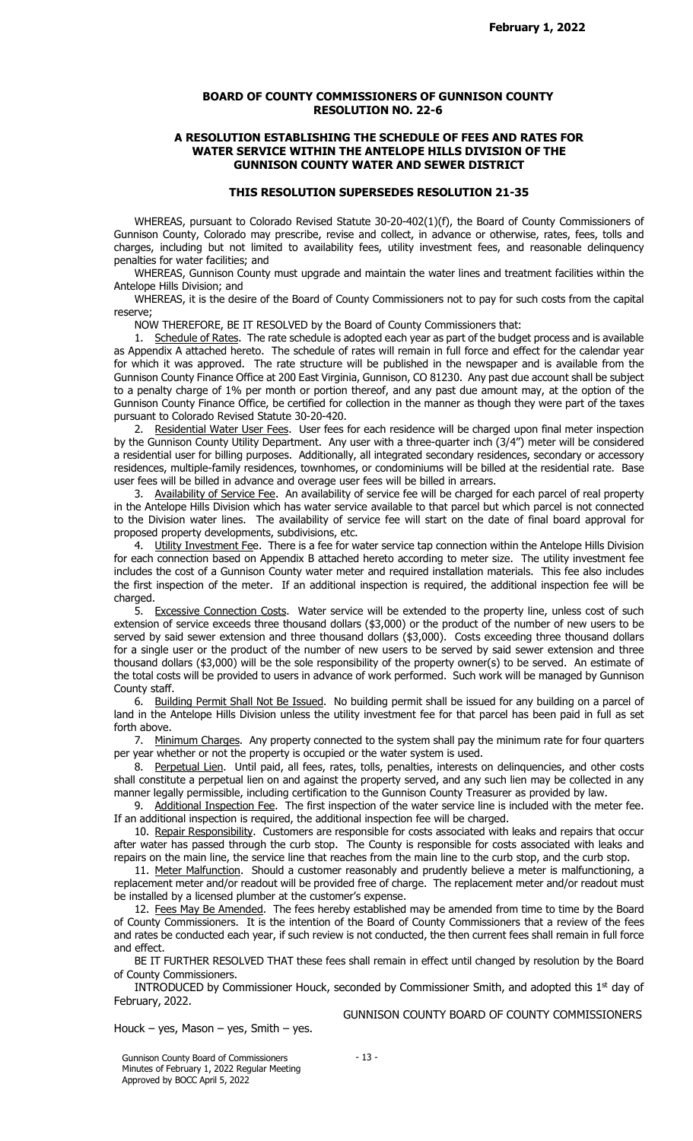### BOARD OF COUNTY COMMISSIONERS OF GUNNISON COUNTY RESOLUTION NO. 22-6

### A RESOLUTION ESTABLISHING THE SCHEDULE OF FEES AND RATES FOR WATER SERVICE WITHIN THE ANTELOPE HILLS DIVISION OF THE GUNNISON COUNTY WATER AND SEWER DISTRICT

# THIS RESOLUTION SUPERSEDES RESOLUTION 21-35

WHEREAS, pursuant to Colorado Revised Statute 30-20-402(1)(f), the Board of County Commissioners of Gunnison County, Colorado may prescribe, revise and collect, in advance or otherwise, rates, fees, tolls and charges, including but not limited to availability fees, utility investment fees, and reasonable delinquency penalties for water facilities; and

WHEREAS, Gunnison County must upgrade and maintain the water lines and treatment facilities within the Antelope Hills Division; and

WHEREAS, it is the desire of the Board of County Commissioners not to pay for such costs from the capital reserve;

NOW THEREFORE, BE IT RESOLVED by the Board of County Commissioners that:

1. Schedule of Rates. The rate schedule is adopted each year as part of the budget process and is available as Appendix A attached hereto. The schedule of rates will remain in full force and effect for the calendar year for which it was approved. The rate structure will be published in the newspaper and is available from the Gunnison County Finance Office at 200 East Virginia, Gunnison, CO 81230. Any past due account shall be subject to a penalty charge of 1% per month or portion thereof, and any past due amount may, at the option of the Gunnison County Finance Office, be certified for collection in the manner as though they were part of the taxes pursuant to Colorado Revised Statute 30-20-420.

2. Residential Water User Fees. User fees for each residence will be charged upon final meter inspection by the Gunnison County Utility Department. Any user with a three-quarter inch (3/4") meter will be considered a residential user for billing purposes. Additionally, all integrated secondary residences, secondary or accessory residences, multiple-family residences, townhomes, or condominiums will be billed at the residential rate. Base user fees will be billed in advance and overage user fees will be billed in arrears.

3. Availability of Service Fee. An availability of service fee will be charged for each parcel of real property in the Antelope Hills Division which has water service available to that parcel but which parcel is not connected to the Division water lines. The availability of service fee will start on the date of final board approval for proposed property developments, subdivisions, etc.

4. Utility Investment Fee. There is a fee for water service tap connection within the Antelope Hills Division for each connection based on Appendix B attached hereto according to meter size. The utility investment fee includes the cost of a Gunnison County water meter and required installation materials. This fee also includes the first inspection of the meter. If an additional inspection is required, the additional inspection fee will be charged.

5. Excessive Connection Costs. Water service will be extended to the property line, unless cost of such extension of service exceeds three thousand dollars (\$3,000) or the product of the number of new users to be served by said sewer extension and three thousand dollars (\$3,000). Costs exceeding three thousand dollars for a single user or the product of the number of new users to be served by said sewer extension and three thousand dollars (\$3,000) will be the sole responsibility of the property owner(s) to be served. An estimate of the total costs will be provided to users in advance of work performed. Such work will be managed by Gunnison County staff.

6. Building Permit Shall Not Be Issued. No building permit shall be issued for any building on a parcel of land in the Antelope Hills Division unless the utility investment fee for that parcel has been paid in full as set forth above.

7. Minimum Charges. Any property connected to the system shall pay the minimum rate for four quarters per year whether or not the property is occupied or the water system is used.

8. Perpetual Lien. Until paid, all fees, rates, tolls, penalties, interests on delinquencies, and other costs shall constitute a perpetual lien on and against the property served, and any such lien may be collected in any manner legally permissible, including certification to the Gunnison County Treasurer as provided by law.

9. Additional Inspection Fee. The first inspection of the water service line is included with the meter fee. If an additional inspection is required, the additional inspection fee will be charged.

10. Repair Responsibility. Customers are responsible for costs associated with leaks and repairs that occur after water has passed through the curb stop. The County is responsible for costs associated with leaks and repairs on the main line, the service line that reaches from the main line to the curb stop, and the curb stop.

11. Meter Malfunction. Should a customer reasonably and prudently believe a meter is malfunctioning, a replacement meter and/or readout will be provided free of charge. The replacement meter and/or readout must be installed by a licensed plumber at the customer's expense.

12. Fees May Be Amended. The fees hereby established may be amended from time to time by the Board of County Commissioners. It is the intention of the Board of County Commissioners that a review of the fees and rates be conducted each year, if such review is not conducted, the then current fees shall remain in full force and effect.

BE IT FURTHER RESOLVED THAT these fees shall remain in effect until changed by resolution by the Board of County Commissioners.

INTRODUCED by Commissioner Houck, seconded by Commissioner Smith, and adopted this 1<sup>st</sup> day of February, 2022.

Houck – yes, Mason – yes, Smith – yes.

GUNNISON COUNTY BOARD OF COUNTY COMMISSIONERS

Gunnison County Board of Commissioners Minutes of February 1, 2022 Regular Meeting Approved by BOCC April 5, 2022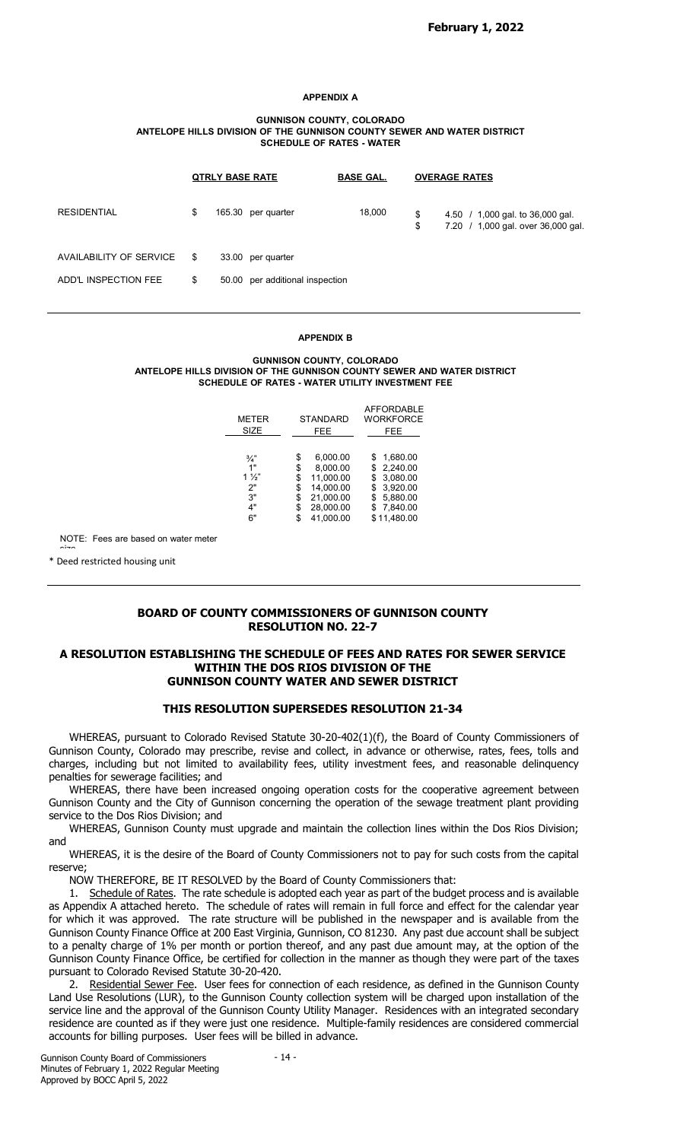#### APPENDIX A

#### GUNNISON COUNTY, COLORADO ANTELOPE HILLS DIVISION OF THE GUNNISON COUNTY SEWER AND WATER DISTRICT SCHEDULE OF RATES - WATER

|                         |    | <b>QTRLY BASE RATE</b>          | <b>BASE GAL.</b> |          | <b>OVERAGE RATES</b>                                                   |
|-------------------------|----|---------------------------------|------------------|----------|------------------------------------------------------------------------|
| <b>RESIDENTIAL</b>      | \$ | 165.30 per quarter              | 18,000           | \$<br>\$ | 4.50 / 1,000 gal. to 36,000 gal.<br>7.20 / 1,000 gal. over 36,000 gal. |
| AVAILABILITY OF SERVICE | S  | 33.00 per quarter               |                  |          |                                                                        |
| ADD'L INSPECTION FEE    | \$ | 50.00 per additional inspection |                  |          |                                                                        |

#### APPENDIX B

#### GUNNISON COUNTY, COLORADO ANTELOPE HILLS DIVISION OF THE GUNNISON COUNTY SEWER AND WATER DISTRICT SCHEDULE OF RATES - WATER UTILITY INVESTMENT FEE

|                 | <b>AFFORDABLE</b><br><b>WORKFORCE</b> |
|-----------------|---------------------------------------|
| FEE.            | FEE.                                  |
| \$<br>6,000.00  | 1,680.00<br>\$.                       |
| \$<br>8.000.00  | \$2,240.00                            |
| \$<br>11,000.00 | \$3,080.00                            |
| \$<br>14,000.00 | \$3,920.00                            |
| \$<br>21,000.00 | 5,880.00<br>\$.                       |
| \$<br>28,000.00 | 7,840.00<br>S.                        |
|                 | \$11,480.00                           |
|                 | <b>STANDARD</b><br>41,000.00<br>S     |

NOTE: Fees are based on water meter

size. The contract of the contract of the contract of the contract of the contract of the contract of the contract of the contract of the contract of the contract of the contract of the contract of the contract of the cont \* Deed restricted housing unit

# BOARD OF COUNTY COMMISSIONERS OF GUNNISON COUNTY RESOLUTION NO. 22-7

### A RESOLUTION ESTABLISHING THE SCHEDULE OF FEES AND RATES FOR SEWER SERVICE WITHIN THE DOS RIOS DIVISION OF THE GUNNISON COUNTY WATER AND SEWER DISTRICT

### THIS RESOLUTION SUPERSEDES RESOLUTION 21-34

WHEREAS, pursuant to Colorado Revised Statute 30-20-402(1)(f), the Board of County Commissioners of Gunnison County, Colorado may prescribe, revise and collect, in advance or otherwise, rates, fees, tolls and charges, including but not limited to availability fees, utility investment fees, and reasonable delinquency penalties for sewerage facilities; and

WHEREAS, there have been increased ongoing operation costs for the cooperative agreement between Gunnison County and the City of Gunnison concerning the operation of the sewage treatment plant providing service to the Dos Rios Division; and

WHEREAS, Gunnison County must upgrade and maintain the collection lines within the Dos Rios Division; and

WHEREAS, it is the desire of the Board of County Commissioners not to pay for such costs from the capital reserve;

NOW THEREFORE, BE IT RESOLVED by the Board of County Commissioners that:

1. Schedule of Rates. The rate schedule is adopted each year as part of the budget process and is available as Appendix A attached hereto. The schedule of rates will remain in full force and effect for the calendar year for which it was approved. The rate structure will be published in the newspaper and is available from the Gunnison County Finance Office at 200 East Virginia, Gunnison, CO 81230. Any past due account shall be subject to a penalty charge of 1% per month or portion thereof, and any past due amount may, at the option of the Gunnison County Finance Office, be certified for collection in the manner as though they were part of the taxes pursuant to Colorado Revised Statute 30-20-420.

2. Residential Sewer Fee. User fees for connection of each residence, as defined in the Gunnison County Land Use Resolutions (LUR), to the Gunnison County collection system will be charged upon installation of the service line and the approval of the Gunnison County Utility Manager. Residences with an integrated secondary residence are counted as if they were just one residence. Multiple-family residences are considered commercial accounts for billing purposes. User fees will be billed in advance.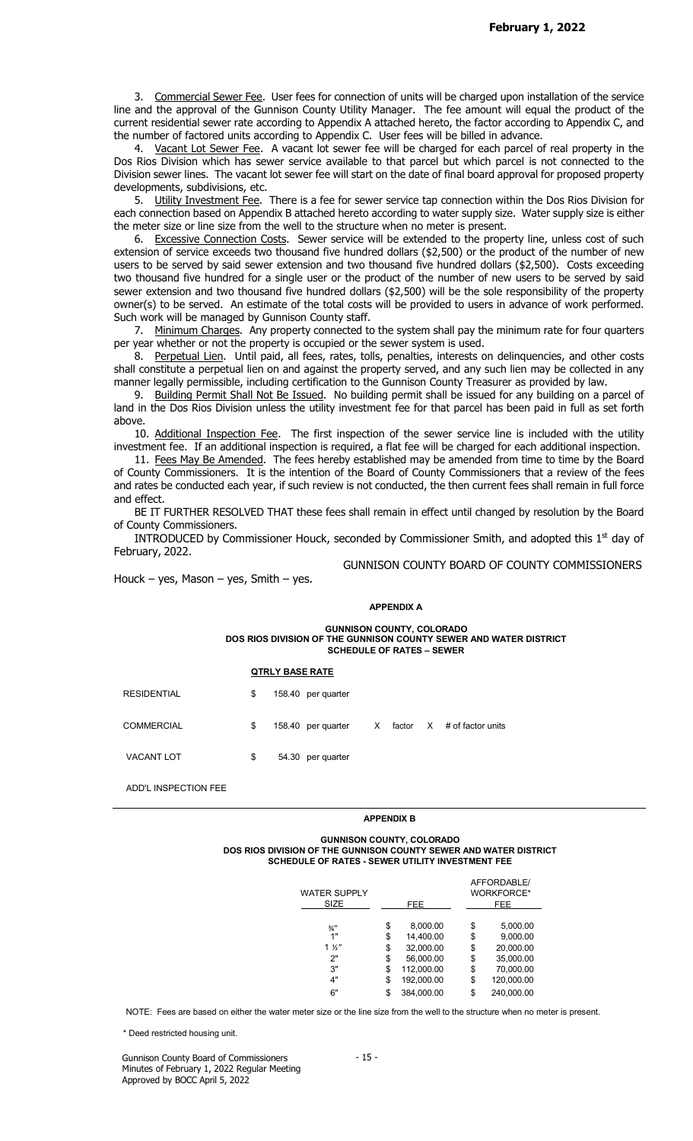3. Commercial Sewer Fee. User fees for connection of units will be charged upon installation of the service line and the approval of the Gunnison County Utility Manager. The fee amount will equal the product of the current residential sewer rate according to Appendix A attached hereto, the factor according to Appendix C, and the number of factored units according to Appendix C. User fees will be billed in advance.

4. Vacant Lot Sewer Fee. A vacant lot sewer fee will be charged for each parcel of real property in the Dos Rios Division which has sewer service available to that parcel but which parcel is not connected to the Division sewer lines. The vacant lot sewer fee will start on the date of final board approval for proposed property developments, subdivisions, etc.

5. Utility Investment Fee. There is a fee for sewer service tap connection within the Dos Rios Division for each connection based on Appendix B attached hereto according to water supply size. Water supply size is either the meter size or line size from the well to the structure when no meter is present.

6. Excessive Connection Costs. Sewer service will be extended to the property line, unless cost of such extension of service exceeds two thousand five hundred dollars (\$2,500) or the product of the number of new users to be served by said sewer extension and two thousand five hundred dollars (\$2,500). Costs exceeding two thousand five hundred for a single user or the product of the number of new users to be served by said sewer extension and two thousand five hundred dollars (\$2,500) will be the sole responsibility of the property owner(s) to be served. An estimate of the total costs will be provided to users in advance of work performed. Such work will be managed by Gunnison County staff.

7. Minimum Charges. Any property connected to the system shall pay the minimum rate for four quarters per year whether or not the property is occupied or the sewer system is used.

8. Perpetual Lien. Until paid, all fees, rates, tolls, penalties, interests on delinquencies, and other costs shall constitute a perpetual lien on and against the property served, and any such lien may be collected in any manner legally permissible, including certification to the Gunnison County Treasurer as provided by law.

9. Building Permit Shall Not Be Issued. No building permit shall be issued for any building on a parcel of land in the Dos Rios Division unless the utility investment fee for that parcel has been paid in full as set forth above.

10. Additional Inspection Fee. The first inspection of the sewer service line is included with the utility investment fee. If an additional inspection is required, a flat fee will be charged for each additional inspection.

11. Fees May Be Amended. The fees hereby established may be amended from time to time by the Board of County Commissioners. It is the intention of the Board of County Commissioners that a review of the fees and rates be conducted each year, if such review is not conducted, the then current fees shall remain in full force and effect.

BE IT FURTHER RESOLVED THAT these fees shall remain in effect until changed by resolution by the Board of County Commissioners.

INTRODUCED by Commissioner Houck, seconded by Commissioner Smith, and adopted this  $1<sup>st</sup>$  day of February, 2022.

GUNNISON COUNTY BOARD OF COUNTY COMMISSIONERS

Houck – yes, Mason – yes, Smith – yes.

### APPENDIX A

GUNNISON COUNTY, COLORADO DOS RIOS DIVISION OF THE GUNNISON COUNTY SEWER AND WATER DISTRICT SCHEDULE OF RATES – SEWER

#### QTRLY BASE RATE

RESIDENTIAL \$ 158.40 per quarter

COMMERCIAL  $$ 158.40$  per quarter X factor X # of factor units

VACANT LOT  $$ 54.30 per quarter$ 

ADD'L INSPECTION FEE

### APPENDIX B

#### GUNNISON COUNTY, COLORADO DOS RIOS DIVISION OF THE GUNNISON COUNTY SEWER AND WATER DISTRICT SCHEDULE OF RATES - SEWER UTILITY INVESTMENT FEE

| WATER SUPPLY    |                  | AFFORDABLE/<br><b>WORKFORCE*</b> |
|-----------------|------------------|----------------------------------|
| SIZE            | FEE.             | FEE.                             |
| $\frac{3}{4}$ " | \$<br>8,000.00   | \$<br>5,000.00                   |
| 1"              | \$<br>14.400.00  | \$<br>9,000.00                   |
| $1 \frac{1}{2}$ | \$<br>32,000.00  | \$<br>20,000.00                  |
| 2"              | \$<br>56.000.00  | \$<br>35,000.00                  |
| 3"              | \$<br>112,000.00 | \$<br>70,000.00                  |
| 4"              | \$<br>192,000.00 | \$<br>120,000.00                 |
| 6"              | \$<br>384,000.00 | \$<br>240,000.00                 |

NOTE: Fees are based on either the water meter size or the line size from the well to the structure when no meter is present.<br>\* Deed restricted housing unit.

Gunnison County Board of Commissioners Minutes of February 1, 2022 Regular Meeting Approved by BOCC April 5, 2022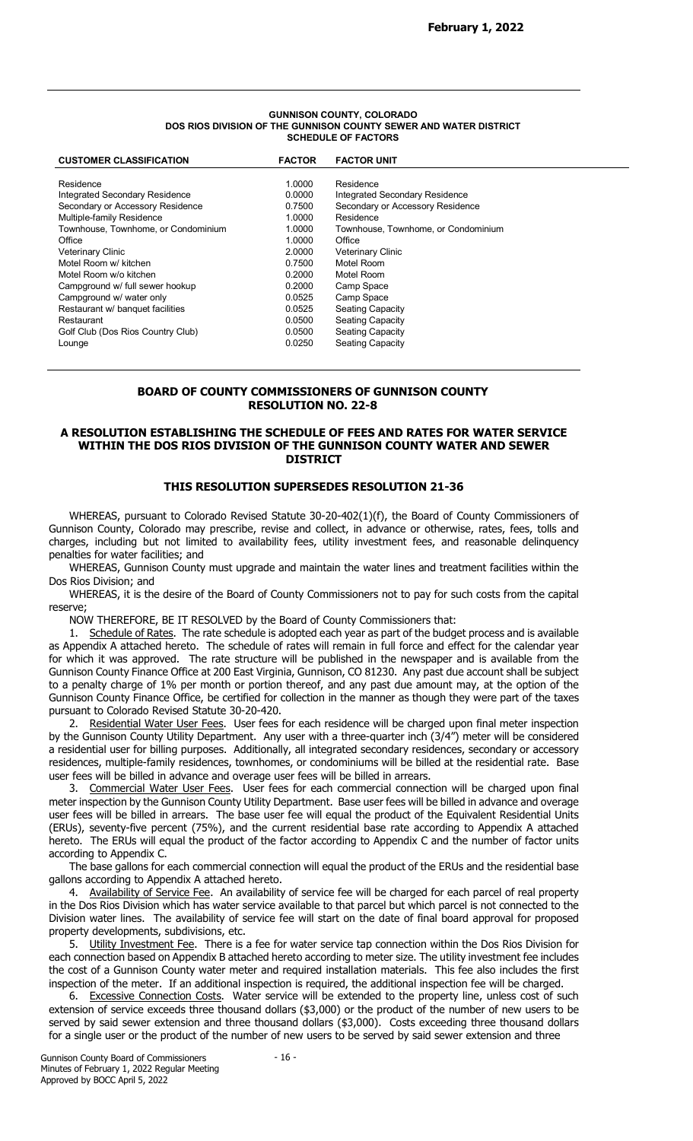#### GUNNISON COUNTY, COLORADO DOS RIOS DIVISION OF THE GUNNISON COUNTY SEWER AND WATER DISTRICT SCHEDULE OF FACTORS

| <b>CUSTOMER CLASSIFICATION</b>      | <b>FACTOR</b> | <b>FACTOR UNIT</b>                  |
|-------------------------------------|---------------|-------------------------------------|
|                                     |               |                                     |
| Residence                           | 1.0000        | Residence                           |
| Integrated Secondary Residence      | 0.0000        | Integrated Secondary Residence      |
| Secondary or Accessory Residence    | 0.7500        | Secondary or Accessory Residence    |
| Multiple-family Residence           | 1.0000        | Residence                           |
| Townhouse, Townhome, or Condominium | 1.0000        | Townhouse, Townhome, or Condominium |
| Office                              | 1.0000        | Office                              |
| <b>Veterinary Clinic</b>            | 2.0000        | <b>Veterinary Clinic</b>            |
| Motel Room w/ kitchen               | 0.7500        | Motel Room                          |
| Motel Room w/o kitchen              | 0.2000        | Motel Room                          |
| Campground w/ full sewer hookup     | 0.2000        | Camp Space                          |
| Campground w/ water only            | 0.0525        | Camp Space                          |
| Restaurant w/ banquet facilities    | 0.0525        | <b>Seating Capacity</b>             |
| Restaurant                          | 0.0500        | <b>Seating Capacity</b>             |
| Golf Club (Dos Rios Country Club)   | 0.0500        | <b>Seating Capacity</b>             |
| Lounge                              | 0.0250        | Seating Capacity                    |
|                                     |               |                                     |

## BOARD OF COUNTY COMMISSIONERS OF GUNNISON COUNTY RESOLUTION NO. 22-8

# A RESOLUTION ESTABLISHING THE SCHEDULE OF FEES AND RATES FOR WATER SERVICE WITHIN THE DOS RIOS DIVISION OF THE GUNNISON COUNTY WATER AND SEWER DISTRICT

# THIS RESOLUTION SUPERSEDES RESOLUTION 21-36

WHEREAS, pursuant to Colorado Revised Statute 30-20-402(1)(f), the Board of County Commissioners of Gunnison County, Colorado may prescribe, revise and collect, in advance or otherwise, rates, fees, tolls and charges, including but not limited to availability fees, utility investment fees, and reasonable delinquency penalties for water facilities; and

WHEREAS, Gunnison County must upgrade and maintain the water lines and treatment facilities within the Dos Rios Division; and

WHEREAS, it is the desire of the Board of County Commissioners not to pay for such costs from the capital reserve;

NOW THEREFORE, BE IT RESOLVED by the Board of County Commissioners that:

1. Schedule of Rates. The rate schedule is adopted each year as part of the budget process and is available as Appendix A attached hereto. The schedule of rates will remain in full force and effect for the calendar year for which it was approved. The rate structure will be published in the newspaper and is available from the Gunnison County Finance Office at 200 East Virginia, Gunnison, CO 81230. Any past due account shall be subject to a penalty charge of 1% per month or portion thereof, and any past due amount may, at the option of the Gunnison County Finance Office, be certified for collection in the manner as though they were part of the taxes pursuant to Colorado Revised Statute 30-20-420.

2. Residential Water User Fees. User fees for each residence will be charged upon final meter inspection by the Gunnison County Utility Department. Any user with a three-quarter inch (3/4") meter will be considered a residential user for billing purposes. Additionally, all integrated secondary residences, secondary or accessory residences, multiple-family residences, townhomes, or condominiums will be billed at the residential rate. Base user fees will be billed in advance and overage user fees will be billed in arrears.

3. Commercial Water User Fees. User fees for each commercial connection will be charged upon final meter inspection by the Gunnison County Utility Department. Base user fees will be billed in advance and overage user fees will be billed in arrears. The base user fee will equal the product of the Equivalent Residential Units (ERUs), seventy-five percent (75%), and the current residential base rate according to Appendix A attached hereto. The ERUs will equal the product of the factor according to Appendix C and the number of factor units according to Appendix C.

The base gallons for each commercial connection will equal the product of the ERUs and the residential base gallons according to Appendix A attached hereto.

4. Availability of Service Fee. An availability of service fee will be charged for each parcel of real property in the Dos Rios Division which has water service available to that parcel but which parcel is not connected to the Division water lines. The availability of service fee will start on the date of final board approval for proposed property developments, subdivisions, etc.

5. Utility Investment Fee. There is a fee for water service tap connection within the Dos Rios Division for each connection based on Appendix B attached hereto according to meter size. The utility investment fee includes the cost of a Gunnison County water meter and required installation materials. This fee also includes the first inspection of the meter. If an additional inspection is required, the additional inspection fee will be charged.

6. Excessive Connection Costs. Water service will be extended to the property line, unless cost of such extension of service exceeds three thousand dollars (\$3,000) or the product of the number of new users to be served by said sewer extension and three thousand dollars (\$3,000). Costs exceeding three thousand dollars for a single user or the product of the number of new users to be served by said sewer extension and three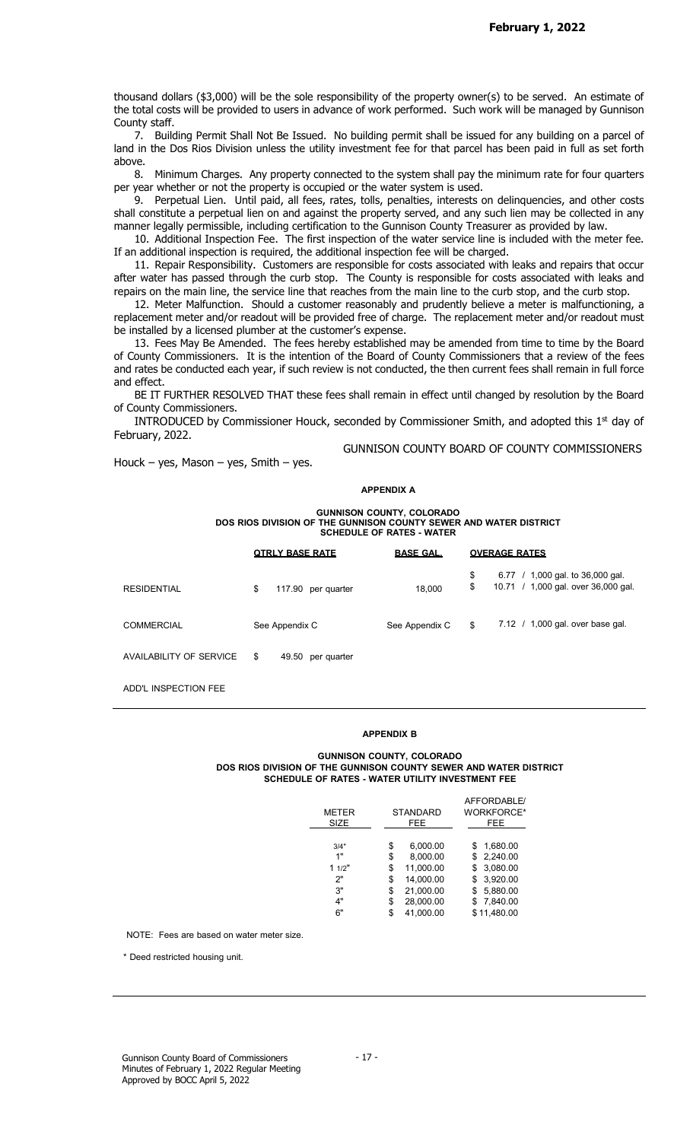thousand dollars (\$3,000) will be the sole responsibility of the property owner(s) to be served. An estimate of the total costs will be provided to users in advance of work performed. Such work will be managed by Gunnison County staff.

7. Building Permit Shall Not Be Issued. No building permit shall be issued for any building on a parcel of land in the Dos Rios Division unless the utility investment fee for that parcel has been paid in full as set forth above.

8. Minimum Charges. Any property connected to the system shall pay the minimum rate for four quarters per year whether or not the property is occupied or the water system is used.

9. Perpetual Lien. Until paid, all fees, rates, tolls, penalties, interests on delinquencies, and other costs shall constitute a perpetual lien on and against the property served, and any such lien may be collected in any manner legally permissible, including certification to the Gunnison County Treasurer as provided by law.

10. Additional Inspection Fee. The first inspection of the water service line is included with the meter fee. If an additional inspection is required, the additional inspection fee will be charged.

11. Repair Responsibility. Customers are responsible for costs associated with leaks and repairs that occur after water has passed through the curb stop. The County is responsible for costs associated with leaks and repairs on the main line, the service line that reaches from the main line to the curb stop, and the curb stop.

12. Meter Malfunction. Should a customer reasonably and prudently believe a meter is malfunctioning, a replacement meter and/or readout will be provided free of charge. The replacement meter and/or readout must be installed by a licensed plumber at the customer's expense.

13. Fees May Be Amended. The fees hereby established may be amended from time to time by the Board of County Commissioners. It is the intention of the Board of County Commissioners that a review of the fees and rates be conducted each year, if such review is not conducted, the then current fees shall remain in full force and effect.

BE IT FURTHER RESOLVED THAT these fees shall remain in effect until changed by resolution by the Board of County Commissioners.

INTRODUCED by Commissioner Houck, seconded by Commissioner Smith, and adopted this 1<sup>st</sup> day of February, 2022.

Houck – yes, Mason – yes, Smith – yes.

GUNNISON COUNTY BOARD OF COUNTY COMMISSIONERS

#### APPENDIX A

GUNNISON COUNTY, COLORADO DOS RIOS DIVISION OF THE GUNNISON COUNTY SEWER AND WATER DISTRICT SCHEDULE OF RATES - WATER

|                         | <b>QTRLY BASE RATE</b>  | <b>BASE GAL.</b> | <b>OVERAGE RATES</b>                                                                |
|-------------------------|-------------------------|------------------|-------------------------------------------------------------------------------------|
| <b>RESIDENTIAL</b>      | 117.90 per quarter<br>S | 18,000           | \$<br>,000 gal. to 36,000 gal.<br>6.77<br>10.71 / 1,000 gal. over 36,000 gal.<br>\$ |
| <b>COMMERCIAL</b>       | See Appendix C          | See Appendix C   | 7.12 / 1,000 gal. over base gal.<br>S                                               |
| AVAILABILITY OF SERVICE | 49.50 per quarter<br>S  |                  |                                                                                     |
|                         |                         |                  |                                                                                     |

ADD'L INSPECTION FEE

#### APPENDIX B

#### GUNNISON COUNTY, COLORADO DOS RIOS DIVISION OF THE GUNNISON COUNTY SEWER AND WATER DISTRICT SCHEDULE OF RATES - WATER UTILITY INVESTMENT FEE

| <b>METER</b> | <b>STANDARD</b> |    | AFFORDABLE/<br><b>WORKFORCE*</b> |
|--------------|-----------------|----|----------------------------------|
| <b>SIZE</b>  | FEE.            |    | FEE.                             |
| 3/4"         | \$<br>6,000.00  | S. | 1,680.00                         |
| 1"           | \$<br>8,000.00  |    | \$2,240.00                       |
| 11/2"        | \$<br>11,000.00 |    | \$3,080.00                       |
| 2"           | \$<br>14,000.00 |    | \$3,920.00                       |
| 3"           | \$<br>21,000.00 | S. | 5,880.00                         |
| 4"           | \$<br>28,000.00 | S. | 7,840.00                         |
| 6"           | \$<br>41.000.00 |    | \$11.480.00                      |

NOTE: Fees are based on water meter size.

\* Deed restricted housing unit.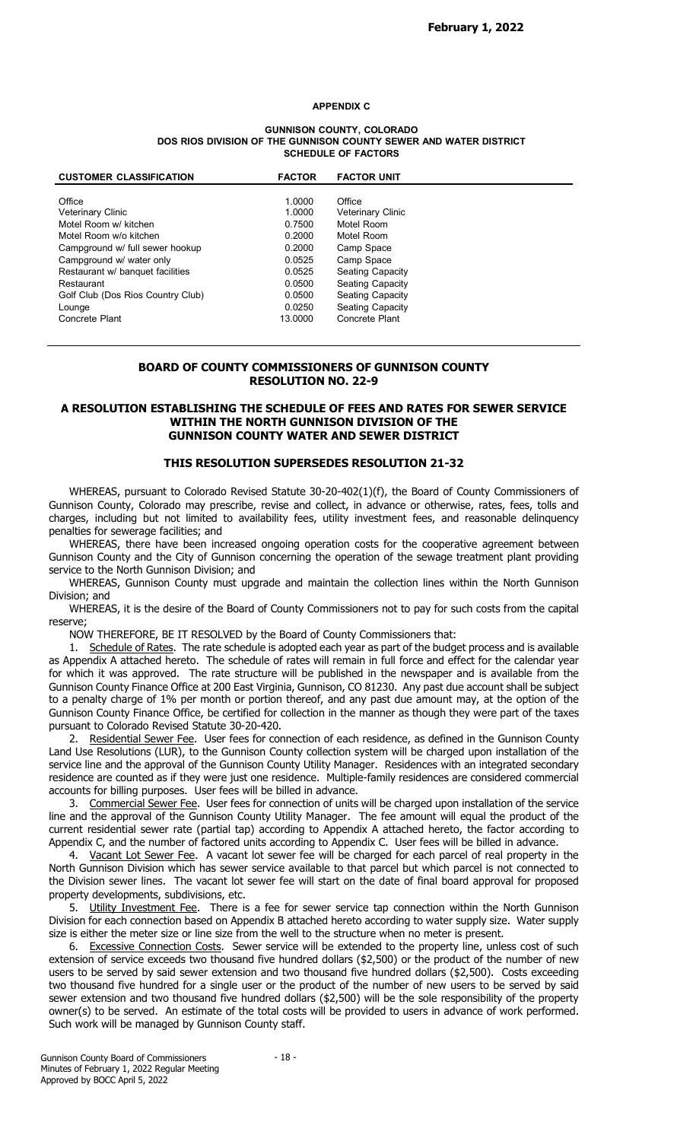### APPENDIX C

#### GUNNISON COUNTY, COLORADO DOS RIOS DIVISION OF THE GUNNISON COUNTY SEWER AND WATER DISTRICT SCHEDULE OF FACTORS

| <b>CUSTOMER CLASSIFICATION</b>    | <b>FACTOR</b> | <b>FACTOR UNIT</b>       |  |
|-----------------------------------|---------------|--------------------------|--|
|                                   |               |                          |  |
| Office                            | 1.0000        | Office                   |  |
| <b>Veterinary Clinic</b>          | 1.0000        | <b>Veterinary Clinic</b> |  |
| Motel Room w/ kitchen             | 0.7500        | Motel Room               |  |
| Motel Room w/o kitchen            | 0.2000        | Motel Room               |  |
| Campground w/ full sewer hookup   | 0.2000        | Camp Space               |  |
| Campground w/ water only          | 0.0525        | Camp Space               |  |
| Restaurant w/ banquet facilities  | 0.0525        | Seating Capacity         |  |
| Restaurant                        | 0.0500        | Seating Capacity         |  |
| Golf Club (Dos Rios Country Club) | 0.0500        | Seating Capacity         |  |
| Lounge                            | 0.0250        | Seating Capacity         |  |
| Concrete Plant                    | 13.0000       | Concrete Plant           |  |

### BOARD OF COUNTY COMMISSIONERS OF GUNNISON COUNTY RESOLUTION NO. 22-9

### A RESOLUTION ESTABLISHING THE SCHEDULE OF FEES AND RATES FOR SEWER SERVICE WITHIN THE NORTH GUNNISON DIVISION OF THE GUNNISON COUNTY WATER AND SEWER DISTRICT

### THIS RESOLUTION SUPERSEDES RESOLUTION 21-32

WHEREAS, pursuant to Colorado Revised Statute 30-20-402(1)(f), the Board of County Commissioners of Gunnison County, Colorado may prescribe, revise and collect, in advance or otherwise, rates, fees, tolls and charges, including but not limited to availability fees, utility investment fees, and reasonable delinquency penalties for sewerage facilities; and

WHEREAS, there have been increased ongoing operation costs for the cooperative agreement between Gunnison County and the City of Gunnison concerning the operation of the sewage treatment plant providing service to the North Gunnison Division; and

WHEREAS, Gunnison County must upgrade and maintain the collection lines within the North Gunnison Division; and

WHEREAS, it is the desire of the Board of County Commissioners not to pay for such costs from the capital reserve;

NOW THEREFORE, BE IT RESOLVED by the Board of County Commissioners that:

1. Schedule of Rates. The rate schedule is adopted each year as part of the budget process and is available as Appendix A attached hereto. The schedule of rates will remain in full force and effect for the calendar year for which it was approved. The rate structure will be published in the newspaper and is available from the Gunnison County Finance Office at 200 East Virginia, Gunnison, CO 81230. Any past due account shall be subject to a penalty charge of 1% per month or portion thereof, and any past due amount may, at the option of the Gunnison County Finance Office, be certified for collection in the manner as though they were part of the taxes pursuant to Colorado Revised Statute 30-20-420.

2. Residential Sewer Fee. User fees for connection of each residence, as defined in the Gunnison County Land Use Resolutions (LUR), to the Gunnison County collection system will be charged upon installation of the service line and the approval of the Gunnison County Utility Manager. Residences with an integrated secondary residence are counted as if they were just one residence. Multiple-family residences are considered commercial accounts for billing purposes. User fees will be billed in advance.

3. Commercial Sewer Fee. User fees for connection of units will be charged upon installation of the service line and the approval of the Gunnison County Utility Manager. The fee amount will equal the product of the current residential sewer rate (partial tap) according to Appendix A attached hereto, the factor according to Appendix C, and the number of factored units according to Appendix C. User fees will be billed in advance.

4. Vacant Lot Sewer Fee. A vacant lot sewer fee will be charged for each parcel of real property in the North Gunnison Division which has sewer service available to that parcel but which parcel is not connected to the Division sewer lines. The vacant lot sewer fee will start on the date of final board approval for proposed property developments, subdivisions, etc.

5. Utility Investment Fee. There is a fee for sewer service tap connection within the North Gunnison Division for each connection based on Appendix B attached hereto according to water supply size. Water supply size is either the meter size or line size from the well to the structure when no meter is present.

6. Excessive Connection Costs. Sewer service will be extended to the property line, unless cost of such extension of service exceeds two thousand five hundred dollars (\$2,500) or the product of the number of new users to be served by said sewer extension and two thousand five hundred dollars (\$2,500). Costs exceeding two thousand five hundred for a single user or the product of the number of new users to be served by said sewer extension and two thousand five hundred dollars (\$2,500) will be the sole responsibility of the property owner(s) to be served. An estimate of the total costs will be provided to users in advance of work performed. Such work will be managed by Gunnison County staff.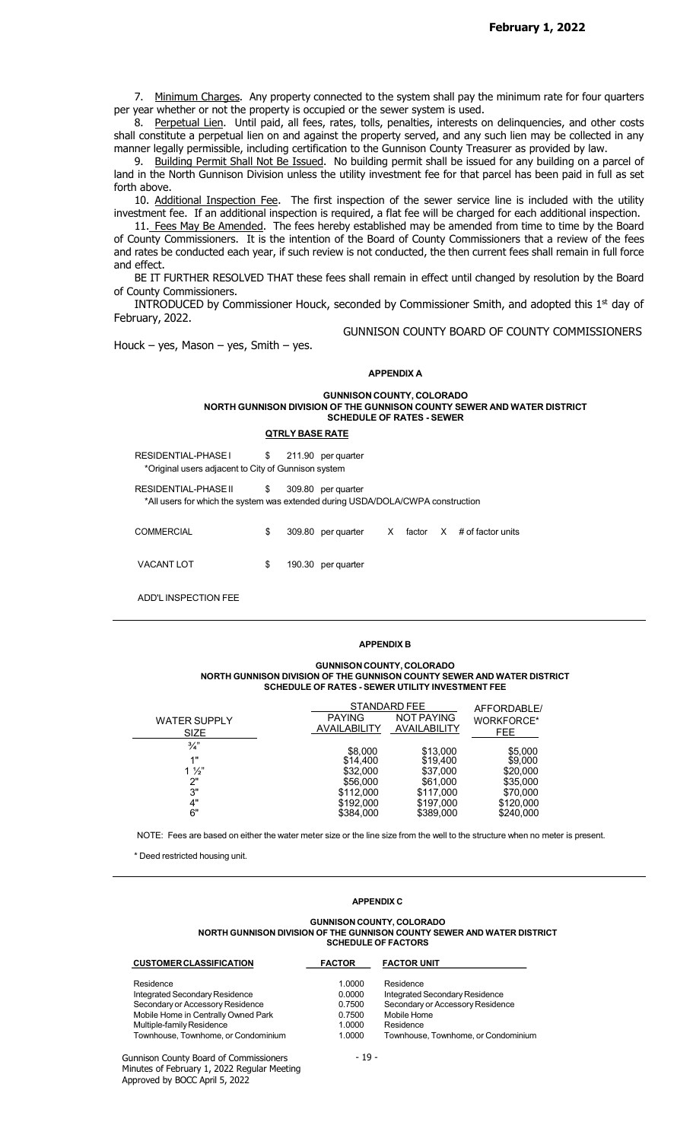7. Minimum Charges. Any property connected to the system shall pay the minimum rate for four quarters per year whether or not the property is occupied or the sewer system is used.

8. Perpetual Lien. Until paid, all fees, rates, tolls, penalties, interests on delinquencies, and other costs shall constitute a perpetual lien on and against the property served, and any such lien may be collected in any manner legally permissible, including certification to the Gunnison County Treasurer as provided by law.

9. Building Permit Shall Not Be Issued. No building permit shall be issued for any building on a parcel of land in the North Gunnison Division unless the utility investment fee for that parcel has been paid in full as set forth above.

10. Additional Inspection Fee. The first inspection of the sewer service line is included with the utility investment fee. If an additional inspection is required, a flat fee will be charged for each additional inspection.

11. Fees May Be Amended. The fees hereby established may be amended from time to time by the Board of County Commissioners. It is the intention of the Board of County Commissioners that a review of the fees and rates be conducted each year, if such review is not conducted, the then current fees shall remain in full force and effect.

BE IT FURTHER RESOLVED THAT these fees shall remain in effect until changed by resolution by the Board of County Commissioners.

INTRODUCED by Commissioner Houck, seconded by Commissioner Smith, and adopted this  $1<sup>st</sup>$  day of February, 2022.

Houck – yes, Mason – yes, Smith – yes.

# APPENDIX A

GUNNISON COUNTY BOARD OF COUNTY COMMISSIONERS

#### GUNNISON COUNTY, COLORADO NORTH GUNNISON DIVISION OF THE GUNNISON COUNTY SEWER AND WATER DISTRICT SCHEDULE OF RATES - SEWER

#### QTRLY BASE RATE

| RESIDENTIAL-PHASE I<br>*Original users adjacent to City of Gunnison system                              | \$<br>211.90 | per quarter          |        |              |                   |
|---------------------------------------------------------------------------------------------------------|--------------|----------------------|--------|--------------|-------------------|
| RESIDENTIAL-PHASE II<br>*All users for which the system was extended during USDA/DOLA/CWPA construction | \$           | 309.80 per quarter   |        |              |                   |
| <b>COMMERCIAL</b>                                                                                       | \$           | 309.80 per quarter X | factor | $\mathsf{X}$ | # of factor units |
| <b>VACANT LOT</b>                                                                                       | \$<br>190.30 | per quarter          |        |              |                   |

ADD'L INSPECTION FEE

#### APPENDIX B

#### GUNNISON COUNTY, COLORADO NORTH GUNNISON DIVISION OF THE GUNNISON COUNTY SEWER AND WATER DISTRICT SCHEDULE OF RATES - SEWER UTILITY INVESTMENT FEE

| <b>WATER SUPPLY</b><br><b>SIZE</b> | <b>PAYING</b><br>AVAILABILITY | STANDARD FEE<br><b>NOT PAYING</b><br>AVAILABILITY | AFFORDABLE/<br>WORKFORCE*<br>FEE. |
|------------------------------------|-------------------------------|---------------------------------------------------|-----------------------------------|
| $\frac{3}{4}$                      | \$8,000                       | \$13,000                                          | \$5,000                           |
| 4 !!<br>$1\frac{1}{2}$             | \$14,400<br>\$32,000          | \$19,400<br>\$37,000                              | \$9,000<br>\$20,000               |
| ייר<br>3"                          | \$56,000<br>\$112,000         | \$61,000<br>\$117,000                             | \$35,000<br>\$70,000              |
| 4"                                 | \$192,000                     | \$197,000                                         | \$120,000                         |
| 6"                                 | \$384,000                     | \$389,000                                         | \$240,000                         |

NOTE: Fees are based on either the water meter size or the line size from the well to the structure when no meter is present.<br>\* Deed restricted housing unit.

### APPENDIX C

#### GUNNISON COUNTY, COLORADO NORTH GUNNISON DIVISION OF THE GUNNISON COUNTY SEWER AND WATER DISTRICT SCHEDULE OF FACTORS

| <b>CUSTOMER CLASSIFICATION</b>      | <b>FACTOR</b> | <b>FACTOR UNIT</b>                  |
|-------------------------------------|---------------|-------------------------------------|
| Residence                           | 1.0000        | Residence                           |
| Integrated Secondary Residence      | 0.0000        | Integrated Secondary Residence      |
| Secondary or Accessory Residence    | 0.7500        | Secondary or Accessory Residence    |
| Mobile Home in Centrally Owned Park | 0.7500        | Mobile Home                         |
| Multiple-family Residence           | 1.0000        | Residence                           |
| Townhouse, Townhome, or Condominium | 1.0000        | Townhouse. Townhome, or Condominium |
|                                     |               |                                     |

Gunnison County Board of Commissioners Minutes of February 1, 2022 Regular Meeting Approved by BOCC April 5, 2022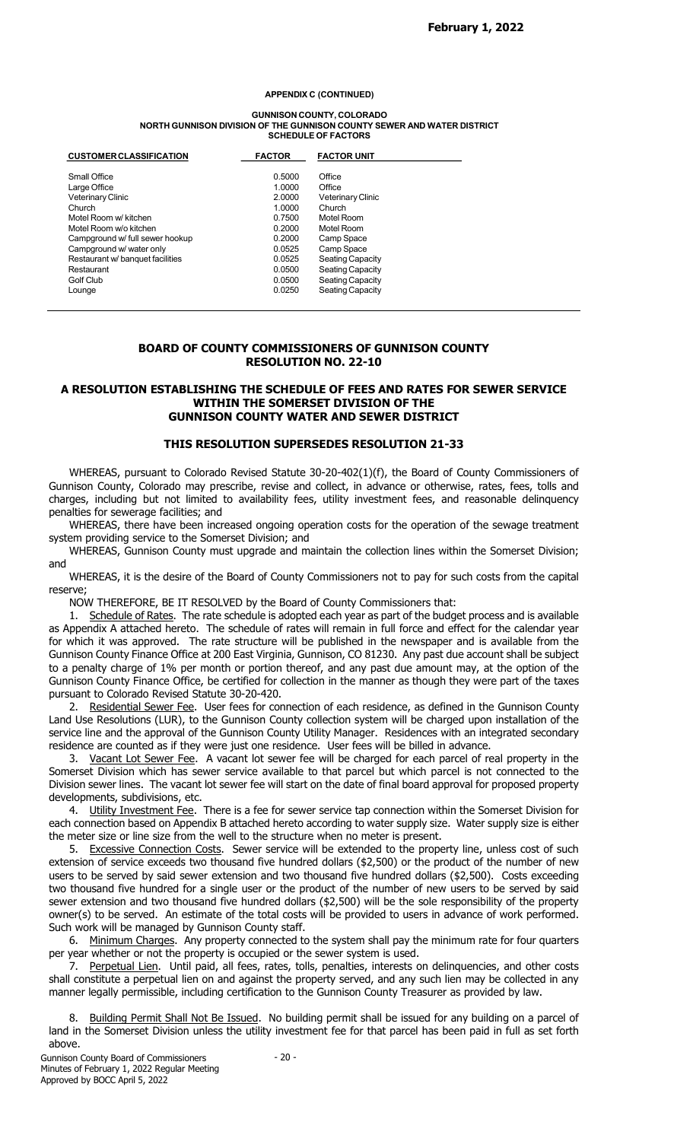#### APPENDIX C (CONTINUED)

#### GUNNISON COUNTY, COLORADO NORTH GUNNISON DIVISION OF THE GUNNISON COUNTY SEWER AND WATER DISTRICT SCHEDULE OF FACTORS

| <b>CUSTOMER CLASSIFICATION</b>   | <b>FACTOR</b> | <b>FACTOR UNIT</b>      |
|----------------------------------|---------------|-------------------------|
| Small Office                     | 0.5000        | Office                  |
| Large Office                     | 1.0000        | Office                  |
| Veterinary Clinic                | 2.0000        | Veterinary Clinic       |
| Church                           | 1.0000        | Church                  |
| Motel Room w/ kitchen            | 0.7500        | Motel Room              |
| Motel Room w/o kitchen           | 0.2000        | Motel Room              |
| Campground w/ full sewer hookup  | 0.2000        | Camp Space              |
| Campground w/ water only         | 0.0525        | Camp Space              |
| Restaurant w/ banquet facilities | 0.0525        | <b>Seating Capacity</b> |
| Restaurant                       | 0.0500        | <b>Seating Capacity</b> |
| Golf Club                        | 0.0500        | <b>Seating Capacity</b> |
| Lounge                           | 0.0250        | <b>Seating Capacity</b> |

# BOARD OF COUNTY COMMISSIONERS OF GUNNISON COUNTY RESOLUTION NO. 22-10

### A RESOLUTION ESTABLISHING THE SCHEDULE OF FEES AND RATES FOR SEWER SERVICE WITHIN THE SOMERSET DIVISION OF THE GUNNISON COUNTY WATER AND SEWER DISTRICT

### THIS RESOLUTION SUPERSEDES RESOLUTION 21-33

WHEREAS, pursuant to Colorado Revised Statute 30-20-402(1)(f), the Board of County Commissioners of Gunnison County, Colorado may prescribe, revise and collect, in advance or otherwise, rates, fees, tolls and charges, including but not limited to availability fees, utility investment fees, and reasonable delinquency penalties for sewerage facilities; and

WHEREAS, there have been increased ongoing operation costs for the operation of the sewage treatment system providing service to the Somerset Division; and

WHEREAS, Gunnison County must upgrade and maintain the collection lines within the Somerset Division; and

WHEREAS, it is the desire of the Board of County Commissioners not to pay for such costs from the capital reserve;

NOW THEREFORE, BE IT RESOLVED by the Board of County Commissioners that:

1. Schedule of Rates. The rate schedule is adopted each year as part of the budget process and is available as Appendix A attached hereto. The schedule of rates will remain in full force and effect for the calendar year for which it was approved. The rate structure will be published in the newspaper and is available from the Gunnison County Finance Office at 200 East Virginia, Gunnison, CO 81230. Any past due account shall be subject to a penalty charge of 1% per month or portion thereof, and any past due amount may, at the option of the Gunnison County Finance Office, be certified for collection in the manner as though they were part of the taxes pursuant to Colorado Revised Statute 30-20-420.

2. Residential Sewer Fee. User fees for connection of each residence, as defined in the Gunnison County Land Use Resolutions (LUR), to the Gunnison County collection system will be charged upon installation of the service line and the approval of the Gunnison County Utility Manager. Residences with an integrated secondary residence are counted as if they were just one residence. User fees will be billed in advance.

3. Vacant Lot Sewer Fee. A vacant lot sewer fee will be charged for each parcel of real property in the Somerset Division which has sewer service available to that parcel but which parcel is not connected to the Division sewer lines. The vacant lot sewer fee will start on the date of final board approval for proposed property developments, subdivisions, etc.

4. Utility Investment Fee. There is a fee for sewer service tap connection within the Somerset Division for each connection based on Appendix B attached hereto according to water supply size. Water supply size is either the meter size or line size from the well to the structure when no meter is present.

5. Excessive Connection Costs. Sewer service will be extended to the property line, unless cost of such extension of service exceeds two thousand five hundred dollars (\$2,500) or the product of the number of new users to be served by said sewer extension and two thousand five hundred dollars (\$2,500). Costs exceeding two thousand five hundred for a single user or the product of the number of new users to be served by said sewer extension and two thousand five hundred dollars (\$2,500) will be the sole responsibility of the property owner(s) to be served. An estimate of the total costs will be provided to users in advance of work performed. Such work will be managed by Gunnison County staff.

6. Minimum Charges. Any property connected to the system shall pay the minimum rate for four quarters per year whether or not the property is occupied or the sewer system is used.

7. Perpetual Lien. Until paid, all fees, rates, tolls, penalties, interests on delinquencies, and other costs shall constitute a perpetual lien on and against the property served, and any such lien may be collected in any manner legally permissible, including certification to the Gunnison County Treasurer as provided by law.

8. Building Permit Shall Not Be Issued. No building permit shall be issued for any building on a parcel of land in the Somerset Division unless the utility investment fee for that parcel has been paid in full as set forth above.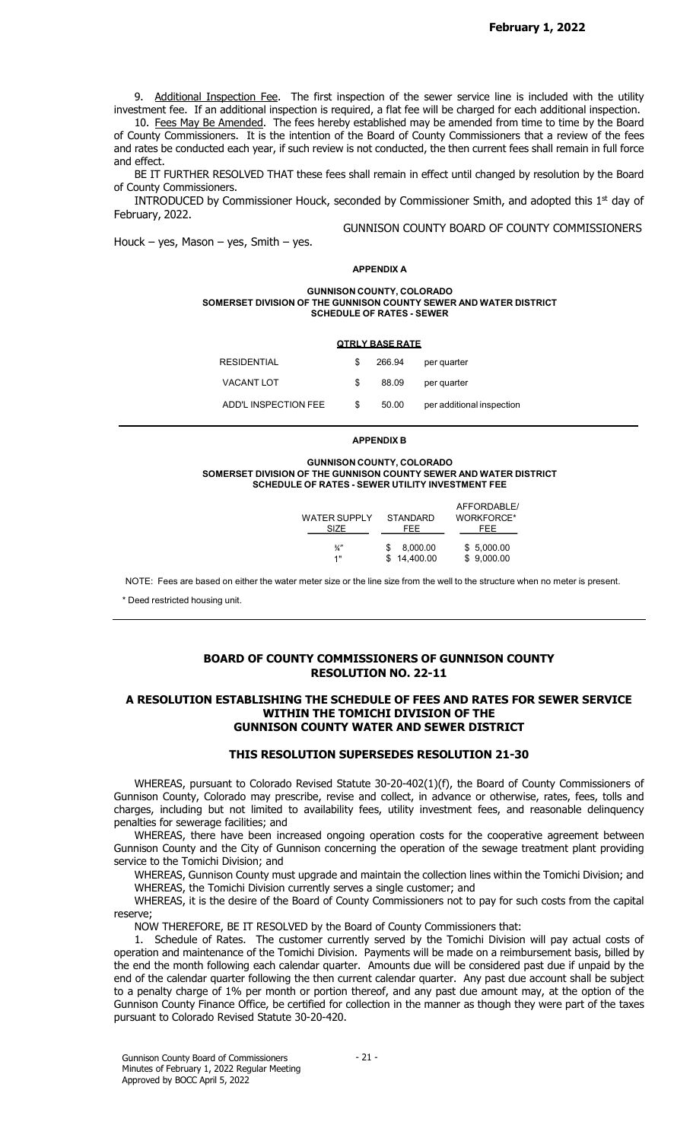9. Additional Inspection Fee. The first inspection of the sewer service line is included with the utility investment fee. If an additional inspection is required, a flat fee will be charged for each additional inspection.

10. Fees May Be Amended. The fees hereby established may be amended from time to time by the Board of County Commissioners. It is the intention of the Board of County Commissioners that a review of the fees and rates be conducted each year, if such review is not conducted, the then current fees shall remain in full force and effect.

BE IT FURTHER RESOLVED THAT these fees shall remain in effect until changed by resolution by the Board of County Commissioners.

INTRODUCED by Commissioner Houck, seconded by Commissioner Smith, and adopted this  $1<sup>st</sup>$  day of February, 2022.

GUNNISON COUNTY BOARD OF COUNTY COMMISSIONERS

Houck – yes, Mason – yes, Smith – yes.

#### APPENDIX A

#### GUNNISON COUNTY, COLORADO SOMERSET DIVISION OF THE GUNNISON COUNTY SEWER AND WATER DISTRICT SCHEDULE OF RATES - SEWER

|                      |    | <b>QTRLY BASE RATE</b> |                           |
|----------------------|----|------------------------|---------------------------|
| RESIDENTIAL          | S  | 266.94                 | per quarter               |
| <b>VACANT LOT</b>    | S  | 88.09                  | per quarter               |
| ADD'L INSPECTION FEE | \$ | 50.00                  | per additional inspection |

APPENDIX B

#### GUNNISON COUNTY, COLORADO SOMERSET DIVISION OF THE GUNNISON COUNTY SEWER AND WATER DISTRICT SCHEDULE OF RATES - SEWER UTILITY INVESTMENT FEE

| WATER SUPPLY<br>SIZE | STANDARD<br>FEE | AFFORDABLE/<br>WORKFORCE*<br>FEE |  |
|----------------------|-----------------|----------------------------------|--|
| $\frac{3}{4}$        | 8,000.00        | \$5,000.00                       |  |
| 1"                   | \$14,400.00     | \$9,000.00                       |  |

NOTE: Fees are based on either the water meter size or the line size from the well to the structure when no meter is present.

\* Deed restricted housing unit.

# BOARD OF COUNTY COMMISSIONERS OF GUNNISON COUNTY RESOLUTION NO. 22-11

### A RESOLUTION ESTABLISHING THE SCHEDULE OF FEES AND RATES FOR SEWER SERVICE WITHIN THE TOMICHI DIVISION OF THE GUNNISON COUNTY WATER AND SEWER DISTRICT

## THIS RESOLUTION SUPERSEDES RESOLUTION 21-30

WHEREAS, pursuant to Colorado Revised Statute 30-20-402(1)(f), the Board of County Commissioners of Gunnison County, Colorado may prescribe, revise and collect, in advance or otherwise, rates, fees, tolls and charges, including but not limited to availability fees, utility investment fees, and reasonable delinquency penalties for sewerage facilities; and

WHEREAS, there have been increased ongoing operation costs for the cooperative agreement between Gunnison County and the City of Gunnison concerning the operation of the sewage treatment plant providing service to the Tomichi Division; and

WHEREAS, Gunnison County must upgrade and maintain the collection lines within the Tomichi Division; and WHEREAS, the Tomichi Division currently serves a single customer; and

WHEREAS, it is the desire of the Board of County Commissioners not to pay for such costs from the capital reserve;

NOW THEREFORE, BE IT RESOLVED by the Board of County Commissioners that:

1. Schedule of Rates. The customer currently served by the Tomichi Division will pay actual costs of operation and maintenance of the Tomichi Division. Payments will be made on a reimbursement basis, billed by the end the month following each calendar quarter. Amounts due will be considered past due if unpaid by the end of the calendar quarter following the then current calendar quarter. Any past due account shall be subject to a penalty charge of 1% per month or portion thereof, and any past due amount may, at the option of the Gunnison County Finance Office, be certified for collection in the manner as though they were part of the taxes pursuant to Colorado Revised Statute 30-20-420.